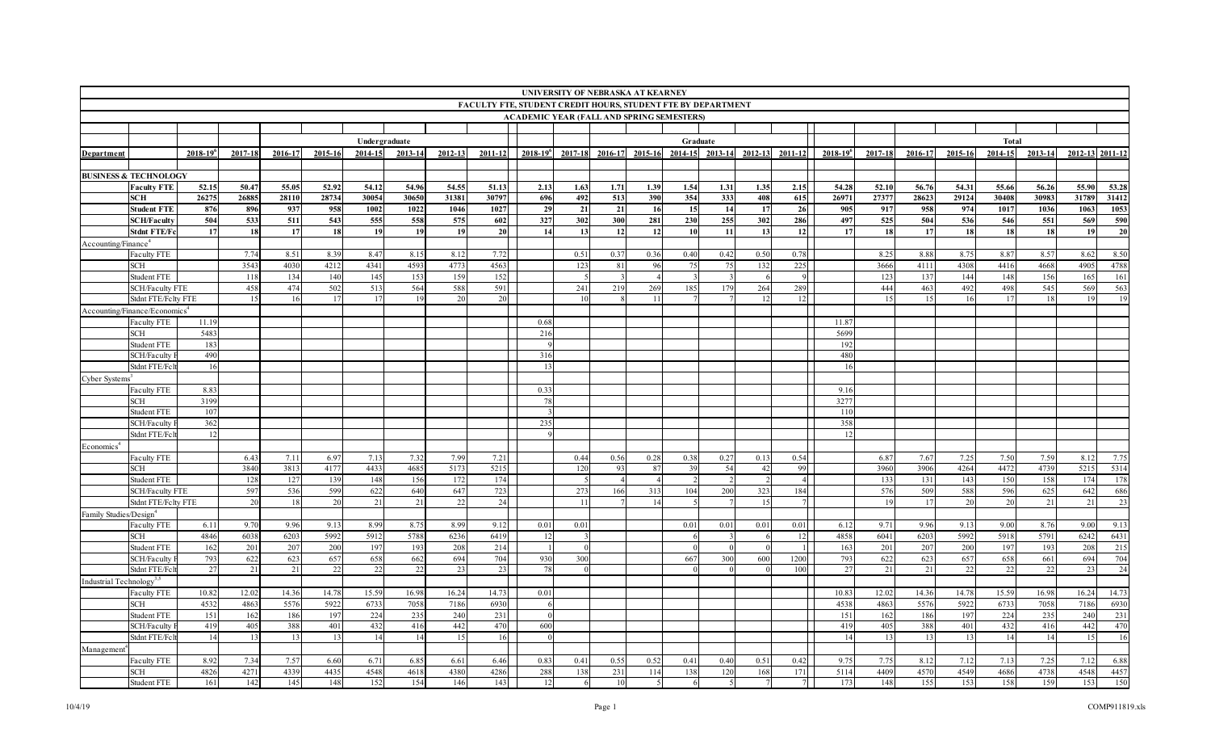|                                      |                                           |                 |         |         |         |               |         |         |             |                                                              |         | UNIVERSITY OF NEBRASKA AT KEARNEY |                          |             |           |                 |                |                 |         |             |         |             |         |       |                 |
|--------------------------------------|-------------------------------------------|-----------------|---------|---------|---------|---------------|---------|---------|-------------|--------------------------------------------------------------|---------|-----------------------------------|--------------------------|-------------|-----------|-----------------|----------------|-----------------|---------|-------------|---------|-------------|---------|-------|-----------------|
|                                      |                                           |                 |         |         |         |               |         |         |             | FACULTY FTE, STUDENT CREDIT HOURS, STUDENT FTE BY DEPARTMENT |         |                                   |                          |             |           |                 |                |                 |         |             |         |             |         |       |                 |
|                                      |                                           |                 |         |         |         |               |         |         |             | <b>ACADEMIC YEAR (FALL AND SPRING SEMESTERS)</b>             |         |                                   |                          |             |           |                 |                |                 |         |             |         |             |         |       |                 |
|                                      |                                           |                 |         |         |         |               |         |         |             |                                                              |         |                                   |                          |             |           |                 |                |                 |         |             |         |             |         |       |                 |
|                                      |                                           |                 |         |         |         | Undergraduate |         |         |             |                                                              |         |                                   |                          |             | Graduate  |                 |                |                 |         |             |         | Total       |         |       |                 |
| <b>Department</b>                    |                                           | $2018 - 19^{6}$ | 2017-18 | 2016-17 | 2015-16 | 2014-15       | 2013-14 | 2012-13 | $2011 - 12$ | $2018 - 19^{6}$                                              | 2017-18 | 2016-17                           | 2015-16                  | $2014 - 15$ |           | 2013-14 2012-13 | $2011 - 12$    | $2018 - 19^{6}$ | 2017-18 | $2016 - 17$ | 2015-16 | $2014 - 15$ | 2013-14 |       | 2012-13 2011-12 |
|                                      |                                           |                 |         |         |         |               |         |         |             |                                                              |         |                                   |                          |             |           |                 |                |                 |         |             |         |             |         |       |                 |
|                                      | <b>BUSINESS &amp; TECHNOLOGY</b>          |                 |         |         |         |               |         |         |             |                                                              |         |                                   |                          |             |           |                 |                |                 |         |             |         |             |         |       |                 |
|                                      | <b>Faculty FTE</b>                        | 52.15           | 50.47   | 55.05   | 52.92   | 54.12         | 54.96   | 54.55   | 51.13       | 2.13                                                         | 1.63    | 1.71                              | 1.39                     | 1.54        | 1.31      | 1.35            | 2.15           | 54.28           | 52.10   | 56.76       | 54.31   | 55.66       | 56.26   | 55.90 | 53.28           |
|                                      | <b>SCH</b>                                | 26275           | 26885   | 28110   | 28734   | 30054         | 30650   | 31381   | 30797       | 696                                                          | 492     | 513                               | 390                      | 354         | 333       | 408             | 615            | 26971           | 27377   | 28623       | 29124   | 30408       | 30983   | 31789 | 31412           |
|                                      | <b>Student FTE</b>                        | 876             | 896     | 937     | 958     | 1002          | 1022    | 1046    | 1027        | 29                                                           | 21      | 21                                | 16                       | 15          | 14        | 17              | 26             | 905             | 917     | 958         | 974     | 1017        | 1036    | 1063  | 1053            |
|                                      | <b>SCH/Faculty</b>                        | 504             | 533     | 511     | 543     | 555           | 558     | 575     | 602         | 327                                                          | 302     | 300                               | 281                      | 230         | 255       | 302             | 286            | 497             | 525     | 504         | 536     | 546         | 551     | 569   | 590             |
|                                      | <b>Stdnt FTE/Fc</b>                       | 17              | 18      | 17      | 18      | 19            | 19      | 19      | 20          | 14                                                           | 13      | 12                                | 12                       | <b>10</b>   | 11        | 13              | 12             | 17              | 18      | 17          | 18      | 18          | 18      | 19    | 20              |
|                                      |                                           |                 |         |         |         |               |         |         |             |                                                              |         |                                   |                          |             |           |                 |                |                 |         |             |         |             |         |       |                 |
| Accounting/Finance <sup>4</sup>      |                                           |                 |         |         |         |               |         |         |             |                                                              |         |                                   |                          |             |           |                 |                |                 |         |             |         |             |         |       |                 |
|                                      | Faculty FTE                               |                 | 7.74    | 8.51    | 8.39    | 8.47          | 8.15    | 8.12    | 7.72        |                                                              | 0.51    | 0.37                              | 0.36                     | 0.40        | 0.42      | 0.50            | 0.78           |                 | 8.25    | 8.88        | 8.75    | 8.87        | 8.57    | 8.62  | 8.50            |
|                                      | <b>SCH</b>                                |                 | 3543    | 4030    | 4212    | 4341          | 4593    | 4773    | 4563        |                                                              | 123     | 81                                | 96                       | 75          | 75        | 132             | 225            |                 | 3666    | 4111        | 4308    | 4416        | 4668    | 4905  | 4788            |
|                                      | Student FTE                               |                 | 118     | 134     | 140     | 145           | 153     | 159     | 152         |                                                              |         |                                   |                          |             |           |                 | 9              |                 | 123     | 137         | 144     | 148         | 156     | 165   | 161             |
|                                      | <b>SCH/Faculty FTE</b>                    |                 | 458     | 474     | 502     | 513           | 564     | 588     | 591         |                                                              | 241     | 219                               | 269                      | 185         | 179       | 264             | 289            |                 | 444     | 463         | 492     | 498         | 545     | 569   | 563             |
|                                      | Stdnt FTE/Felty FTE                       |                 | 15      | -16     | 17      | 17            | 19      | 20      | 20          |                                                              | 10      |                                   | 11                       |             |           | 12              | 12             |                 | 15      |             | 16      | 17          | 18      | 19    | 19              |
|                                      | Accounting/Finance/Economics <sup>4</sup> |                 |         |         |         |               |         |         |             |                                                              |         |                                   |                          |             |           |                 |                |                 |         |             |         |             |         |       |                 |
|                                      | Faculty FTE                               | 11.19           |         |         |         |               |         |         |             | 0.68                                                         |         |                                   |                          |             |           |                 |                | 11.8'           |         |             |         |             |         |       |                 |
|                                      | SCH                                       | 5483            |         |         |         |               |         |         |             | 216                                                          |         |                                   |                          |             |           |                 |                | 5699            |         |             |         |             |         |       |                 |
|                                      | <b>Student FTE</b>                        | 183             |         |         |         |               |         |         |             |                                                              |         |                                   |                          |             |           |                 |                | 192             |         |             |         |             |         |       |                 |
|                                      | SCH/Faculty                               | 490             |         |         |         |               |         |         |             | 316                                                          |         |                                   |                          |             |           |                 |                | 480             |         |             |         |             |         |       |                 |
|                                      | Stdnt FTE/Fc1                             | -16             |         |         |         |               |         |         |             | -13                                                          |         |                                   |                          |             |           |                 |                | 16              |         |             |         |             |         |       |                 |
| Cyber Systems <sup>3</sup>           |                                           |                 |         |         |         |               |         |         |             |                                                              |         |                                   |                          |             |           |                 |                |                 |         |             |         |             |         |       |                 |
|                                      | Faculty FTE                               | 8.83            |         |         |         |               |         |         |             | 0.33                                                         |         |                                   |                          |             |           |                 |                | 9.16            |         |             |         |             |         |       |                 |
|                                      | <b>SCH</b>                                | 3199            |         |         |         |               |         |         |             | 78                                                           |         |                                   |                          |             |           |                 |                | 327             |         |             |         |             |         |       |                 |
|                                      | Student FTE                               | 107             |         |         |         |               |         |         |             |                                                              |         |                                   |                          |             |           |                 |                | 110             |         |             |         |             |         |       |                 |
|                                      |                                           |                 |         |         |         |               |         |         |             | 235                                                          |         |                                   |                          |             |           |                 |                |                 |         |             |         |             |         |       |                 |
|                                      | SCH/Faculty<br>Stdnt FTE/Fc1              | 362             |         |         |         |               |         |         |             |                                                              |         |                                   |                          |             |           |                 |                | 358             |         |             |         |             |         |       |                 |
|                                      |                                           | 12              |         |         |         |               |         |         |             |                                                              |         |                                   |                          |             |           |                 |                |                 |         |             |         |             |         |       |                 |
| Economics <sup>+</sup>               |                                           |                 |         |         |         |               |         |         |             |                                                              |         |                                   |                          |             |           |                 |                |                 |         |             |         |             |         |       |                 |
|                                      | Faculty FTE                               |                 | 6.43    | 7.11    | 6.97    | 7.13          | 7.32    | 7.99    | 7.21        |                                                              | 0.44    | 0.56                              | 0.28                     | 0.38        | $0.2^{r}$ | 0.13            | 0.54           |                 | 6.87    | 7.67        | 7.25    | 7.50        | 7.59    | 8.12  | 7.75            |
|                                      | <b>SCH</b>                                |                 | 3840    | 3813    | 4177    | 4433          | 4685    | 5173    | 5215        |                                                              | 120     | 93                                | 87                       | 39          | 54        | 42              | 99             |                 | 3960    | 3906        | 4264    | 4472        | 4739    | 5215  | 5314            |
|                                      | Student FTE                               |                 | 128     | 127     | 139     | 148           | 156     | 172     | 174         |                                                              |         |                                   |                          |             |           |                 | $\overline{4}$ |                 | 133     | 131         | 143     | 150         | 158     | 174   | 178             |
|                                      | <b>SCH/Faculty FTE</b>                    |                 | 597     | 536     | 599     | 622           | 640     | 647     | 723         |                                                              | 273     | 166                               | 313                      | 104         | 200       | 323             | 184            |                 | 576     | 509         | 588     | 596         | 625     | 642   | 686             |
|                                      | Stdnt FTE/Felty FTE                       |                 | 20      | 18      | 20      | 21            | 21      | 22      | 24          |                                                              | 11      |                                   | 14                       |             |           |                 |                |                 | 19      | 17          | 20      | 20          | 21      | 21    | 23              |
| Family Studies/Design <sup>4</sup>   |                                           |                 |         |         |         |               |         |         |             |                                                              |         |                                   |                          |             |           |                 |                |                 |         |             |         |             |         |       |                 |
|                                      | Faculty FTE                               | 6.11            | 9.70    | 9.96    | 9.13    | 8.99          | 8.75    | 8.99    | 9.12        | 0.01                                                         | 0.01    |                                   |                          | 0.01        | 0.01      | 0.01            | 0.01           | 6.12            | 9.71    | 9.96        | 9.13    | 9.00        | 8.76    | 9.00  | 9.13            |
|                                      | <b>SCH</b>                                | 4846            | 6038    | 6203    | 5992    | 5912          | 5788    | 6236    | 6419        | 12                                                           |         |                                   |                          |             |           |                 | 12             | 4858            | 6041    | 6203        | 5992    | 5918        | 5791    | 6242  | 6431            |
|                                      | Student FTE                               | 162             | 201     | 207     | 200     | 197           | 193     | 208     | 214         |                                                              |         |                                   |                          |             |           |                 |                | 163             | 201     | 207         | 200     | 197         | 193     | 208   | 215             |
|                                      | SCH/Faculty                               | 793             | 622     | 623     | 657     | 658           | 662     | 694     | 704         | 930                                                          | 300     |                                   |                          | 667         | 300       | 600             | 1200           | 793             | 622     | 623         | 657     | 658         | 661     | 694   | 704             |
|                                      | Stdnt FTE/Fc1                             | 27              | 21      | 21      | 22      | 22            | 22      | 23      | 23          | 78                                                           |         |                                   |                          |             |           |                 | 100            | 27              | 21      | 21          | 22      | 22          | 22      | 23    | 24              |
| Industrial Technology <sup>3,5</sup> |                                           |                 |         |         |         |               |         |         |             |                                                              |         |                                   |                          |             |           |                 |                |                 |         |             |         |             |         |       |                 |
|                                      | Faculty FTE                               | 10.82           | 12.02   | 14.36   | 14.78   | 15.59         | 16.98   | 16.24   | 14.73       | 0.01                                                         |         |                                   |                          |             |           |                 |                | 10.83           | 12.02   | 14.36       | 14.78   | 15.59       | 16.98   | 16.24 | 14.73           |
|                                      | <b>SCH</b>                                | 4532            | 4863    | 5576    | 5922    | 6733          | 7058    | 7186    | 6930        |                                                              |         |                                   |                          |             |           |                 |                | 4538            | 4863    | 5576        | 5922    | 6733        | 7058    | 7186  | 6930            |
|                                      | Student FTE                               | 151             | 162     | 186     | 197     | 224           | 235     | 240     | 231         |                                                              |         |                                   |                          |             |           |                 |                | 151             | 162     | 186         | 197     | 224         | 235     | 240   | 231             |
|                                      | SCH/Faculty                               | 419             | 405     | 388     | 401     | 432           | 416     | 442     | 470         | 600                                                          |         |                                   |                          |             |           |                 |                | 419             | 405     | 388         | 401     | 432         | 416     | 442   | 470             |
|                                      |                                           | 14              | 13      | 13      | 13      | 14            | 14      | 15      |             | $\Omega$                                                     |         |                                   |                          |             |           |                 |                | 14              | 13      | -13         | 13      | 14          | 14      |       |                 |
|                                      | Stdnt FTE/Fc1                             |                 |         |         |         |               |         |         | 16          |                                                              |         |                                   |                          |             |           |                 |                |                 |         |             |         |             |         | 15    | 16              |
| Management                           |                                           |                 |         |         |         |               |         |         |             |                                                              |         |                                   |                          |             |           |                 |                |                 |         |             |         |             |         |       |                 |
|                                      | Faculty FTE                               | 8.92            | 7.34    | 7.57    | 6.60    | 6.71          | 6.85    | 6.61    | 6.46        | 0.83                                                         | 0.41    | 0.55                              | 0.52                     | 0.41        | 0.40      | 0.51            | 0.42           | 9.75            | 7.75    | 8.12        | 7.12    | 7.13        | 7.25    | 7.12  | 6.88            |
|                                      | SCH                                       | 4826            | 4271    | 4339    | 4435    | 4548          | 4618    | 4380    | 4286        | 288                                                          | 138     | 231                               | 114                      | 138         | 120       | 168             | 171            | 5114            | 4409    | 4570        | 4549    | 4686        | 4738    | 4548  | 4457            |
|                                      | Student FTE                               | 161             | 142     | 145     | 148     | 152           | 154     | 146     | 143         | 12                                                           |         | 10                                | $\overline{\phantom{0}}$ |             |           |                 | 7 <sup>1</sup> | 173             | 148     | 155         | 153     | 158         | 159     | 153   | 150             |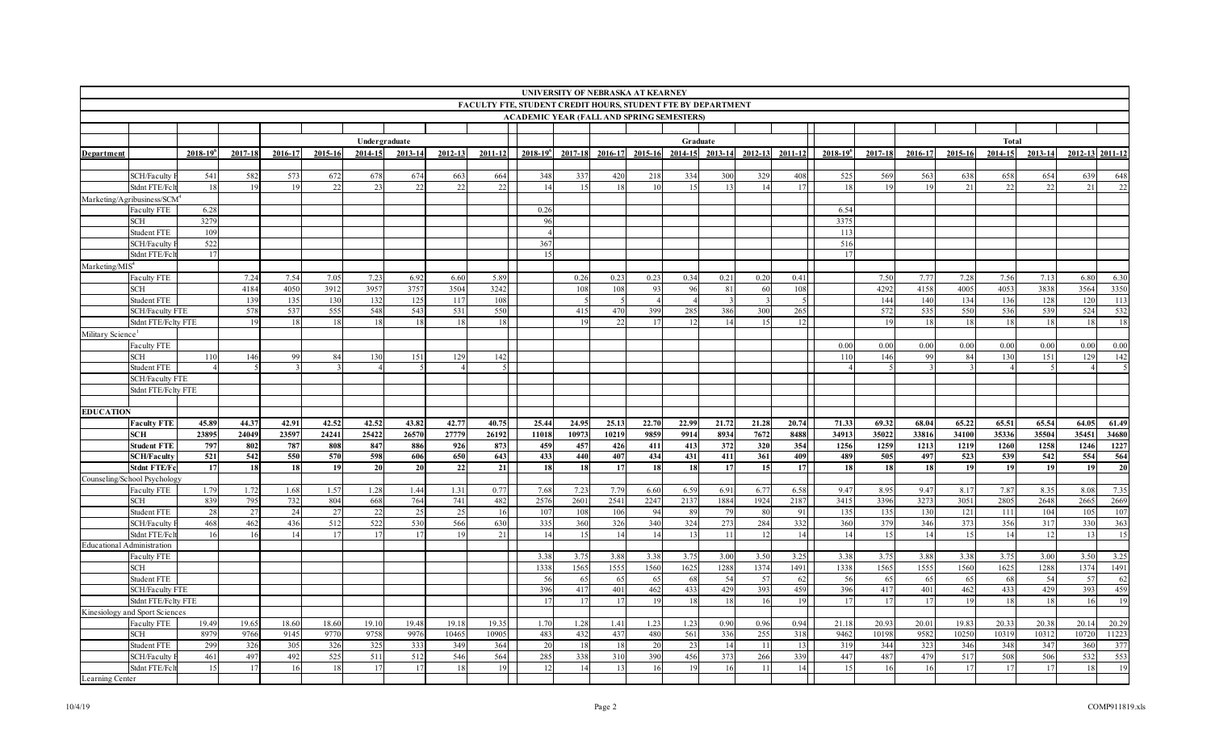| UNIVERSITY OF NEBRASKA AT KEARNEY<br>FACULTY FTE, STUDENT CREDIT HOURS, STUDENT FTE BY DEPARTMENT<br><b>ACADEMIC YEAR (FALL AND SPRING SEMESTERS)</b> |                                               |                 |         |         |           |               |         |           |             |                 |             |         |         |                |       |                 |             |                         |                |            |            |              |             |                 |                 |
|-------------------------------------------------------------------------------------------------------------------------------------------------------|-----------------------------------------------|-----------------|---------|---------|-----------|---------------|---------|-----------|-------------|-----------------|-------------|---------|---------|----------------|-------|-----------------|-------------|-------------------------|----------------|------------|------------|--------------|-------------|-----------------|-----------------|
|                                                                                                                                                       |                                               |                 |         |         |           |               |         |           |             |                 |             |         |         |                |       |                 |             |                         |                |            |            |              |             |                 |                 |
|                                                                                                                                                       |                                               |                 |         |         |           |               |         |           |             |                 |             |         |         |                |       |                 |             |                         |                |            |            |              |             |                 |                 |
|                                                                                                                                                       |                                               |                 |         |         |           |               |         |           |             |                 |             |         |         |                |       |                 |             |                         |                |            |            |              |             |                 |                 |
|                                                                                                                                                       |                                               |                 |         |         |           | Undergraduate |         |           |             |                 |             |         |         | Graduate       |       |                 |             |                         |                |            |            | <b>Total</b> |             |                 |                 |
| Department                                                                                                                                            |                                               | $2018 - 19^{6}$ | 2017-18 | 2016-17 | 2015-16   | $2014 - 15$   | 2013-14 | 2012-13   | $2011 - 12$ | $2018 - 19^{6}$ | $2017 - 18$ | 2016-17 | 2015-16 | $2014 - 15$    |       | 2013-14 2012-13 | $2011 - 12$ | $2018 - 19^{6}$         | 2017-18        | 2016-17    | 2015-16    | 2014-15      | $2013 - 14$ | 2012-13 2011-12 |                 |
|                                                                                                                                                       | SCH/Faculty                                   | 541             | 582     | 573     |           |               | 674     |           | 664         | 348             | 337         | 420     |         | 334            | 300   |                 | 408         | 525                     | 569            | 563        |            |              |             |                 |                 |
|                                                                                                                                                       | Stdnt FTE/Fc1                                 |                 |         | 19      | 672<br>22 | 678<br>23     | 22      | 663<br>22 | 22          |                 | 15          |         | 218     | 1 <sup>4</sup> |       | 329             | 17          | -18                     |                | 19         | 638<br>21  | 658<br>22    | 654<br>22   | 639<br>21       | 648<br>22       |
|                                                                                                                                                       | Marketing/Agribusiness/SCM                    |                 |         |         |           |               |         |           |             |                 |             |         |         |                |       |                 |             |                         |                |            |            |              |             |                 |                 |
|                                                                                                                                                       | Faculty FTE                                   | 6.28            |         |         |           |               |         |           |             | 0.26            |             |         |         |                |       |                 |             | 6.54                    |                |            |            |              |             |                 |                 |
|                                                                                                                                                       | SCH                                           | 3279            |         |         |           |               |         |           |             | 96              |             |         |         |                |       |                 |             | 3375                    |                |            |            |              |             |                 |                 |
|                                                                                                                                                       | Student FTE                                   | 109             |         |         |           |               |         |           |             |                 |             |         |         |                |       |                 |             | 113                     |                |            |            |              |             |                 |                 |
|                                                                                                                                                       | <b>SCH/Faculty</b>                            | 522             |         |         |           |               |         |           |             | 367             |             |         |         |                |       |                 |             | 516                     |                |            |            |              |             |                 |                 |
|                                                                                                                                                       | Stdnt FTE/Fc                                  | 17              |         |         |           |               |         |           |             | 15              |             |         |         |                |       |                 |             | 17                      |                |            |            |              |             |                 |                 |
| Marketing/MIS <sup>4</sup>                                                                                                                            |                                               |                 |         |         |           |               |         |           |             |                 |             |         |         |                |       |                 |             |                         |                |            |            |              |             |                 |                 |
|                                                                                                                                                       | <b>Faculty FTE</b>                            |                 | 7.24    | 7.54    | 7.05      | 7.23          | 6.92    | 6.60      | 5.89        |                 | 0.26        | 0.23    | 0.23    | 0.34           | 0.21  | 0.20            | 0.41        |                         | 7.50           | 7.77       | 7.28       | 7.56         | 7.13        | 6.80            | 6.30            |
|                                                                                                                                                       | SCH                                           |                 | 4184    | 4050    | 3912      | 3957          | 3757    | 3504      | 3242        |                 | 108         | 108     | 93      | 96             | 81    | 61              | 108         |                         | 4292           | 4158       | 4005       | 4053         | 3838        | 3564            | 3350            |
|                                                                                                                                                       | Student FTE                                   |                 | 139     | 135     | 130       | 132           | 125     | 117       | 108         |                 |             |         |         |                |       |                 | -5          |                         | 144            | 140        | 134        | 136          | 128         | 120             | 113             |
|                                                                                                                                                       | <b>SCH/Faculty FTE</b>                        |                 | 578     | 537     | 555       | 548           | 543     | 531       | 550         |                 | 415         | 470     | 399     | 285            | 386   | 300             | 265         |                         | 572            | 535        | 550        | 536          | 539         | 524             | 532             |
|                                                                                                                                                       | Stdnt FTE/Felty FTE                           |                 | 19      | 18      | 18        | 18            | 18      | 18        | 18          |                 | 19          | 22      | 17      | -12            | 14    | -15             | 12          |                         | 19             | <b>18</b>  | 18         | 18           | 18          | 18              | 18              |
| Military Science                                                                                                                                      |                                               |                 |         |         |           |               |         |           |             |                 |             |         |         |                |       |                 |             |                         |                |            |            |              |             |                 |                 |
|                                                                                                                                                       | Faculty FTE<br>SCH                            |                 | 146     | 99      | 84        | 130           | 151     | 129       | 142         |                 |             |         |         |                |       |                 |             | 0.00<br>11 <sup>°</sup> | 0.00<br>146    | 0.00<br>99 | 0.00<br>84 | 0.00<br>130  | 0.00<br>151 | 0.00<br>129     | 0.00<br>142     |
|                                                                                                                                                       | Student FTE                                   |                 |         |         |           |               |         |           |             |                 |             |         |         |                |       |                 |             |                         |                |            |            |              |             |                 |                 |
|                                                                                                                                                       | <b>SCH/Faculty FTE</b>                        |                 |         |         |           |               |         |           |             |                 |             |         |         |                |       |                 |             |                         |                |            |            |              |             |                 |                 |
|                                                                                                                                                       | Stdnt FTE/Fclty FTE                           |                 |         |         |           |               |         |           |             |                 |             |         |         |                |       |                 |             |                         |                |            |            |              |             |                 |                 |
|                                                                                                                                                       |                                               |                 |         |         |           |               |         |           |             |                 |             |         |         |                |       |                 |             |                         |                |            |            |              |             |                 |                 |
| <b>EDUCATION</b>                                                                                                                                      |                                               |                 |         |         |           |               |         |           |             |                 |             |         |         |                |       |                 |             |                         |                |            |            |              |             |                 |                 |
|                                                                                                                                                       | <b>Faculty FTE</b>                            | 45.89           | 44.37   | 42.91   | 42.52     | 42.52         | 43.82   | 42.77     | 40.75       | 25.44           | 24.95       | 25.13   | 22.70   | 22.99          | 21.72 | 21.28           | 20.74       | 71.33                   | 69.32          | 68.04      | 65.22      | 65.51        | 65.54       | 64.05           | 61.49           |
|                                                                                                                                                       | <b>SCH</b>                                    | 23895           | 24049   | 23597   | 24241     | 25422         | 26570   | 27779     | 26192       | 11018           | 10973       | 10219   | 9859    | 9914           | 8934  | 7672            | 8488        | 34913                   | 35022          | 33816      | 34100      | 35336        | 35504       | 35451           | 34680           |
|                                                                                                                                                       | <b>Student FTE</b>                            | 797             | 802     | 787     | 808       | 847           | 886     | 926       | 873         | 459             | 457         | 426     | 411     | 413            | 372   | 320             | 354         | 1256                    | 1259           | 1213       | 1219       | 1260         | 1258        | 1246            | 1227            |
|                                                                                                                                                       | <b>SCH/Faculty</b>                            | 521             | 542     | 550     | 570       | 598           | 606     | 650       | 643         | 433             | 440         | 407     | 434     | 431            | 411   | 361             | 409         | 489                     | 505            | 497        | 523        | 539          | 542         | 554             | 564             |
|                                                                                                                                                       | <b>Stdnt FTE/Fo</b>                           | 17              | 18      | 18      | 19        | 20            | 20      | 22        | 21          | <b>18</b>       | 18          | 17      | 18      | <b>18</b>      | 17    | <b>15</b>       | 17          | 18                      | 18             | 18         | 19         | 19           | 19          | 19              | $\overline{20}$ |
|                                                                                                                                                       | Counseling/School Psychology<br>Faculty FTE   | 1.79            | 1.72    | 1.68    | 1.57      | 1.28          | 1.44    | 1.31      | 0.77        | 7.68            | 7.23        | 7.79    | 6.60    | 6.59           | 6.91  | 6.77            | 6.58        | 9.47                    | 8.95           | 9.47       | 8.17       | 7.87         | 8.35        | 8.08            | 7.35            |
|                                                                                                                                                       | <b>SCH</b>                                    | 839             | 795     | 732     | 804       | 668           | 764     | 741       | 482         | 2576            | 2601        | 2541    | 2247    | 2137           | 1884  | 1924            | 2187        | 3415                    | 3396           | 3273       | 3051       | 2805         | 2648        | 2665            | 2669            |
|                                                                                                                                                       | <b>Student FTE</b>                            | 28              | 27      | 24      | 27        | 22            | 25      | 25        | 16          | 107             | 108         | 106     | 94      | - 89           | 79    | -80             | -911        | 135                     | 135            | 130        | 121        | 111          | 104         | 105             | 107             |
|                                                                                                                                                       | SCH/Faculty                                   | 468             | 462     | 436     | 512       | 522           | 530     | 566       | 630         | 335             | 360         | 326     | 340     | 324            | 273   | 284             | 332         | 360                     | 379            | 346        | 373        | 356          | 317         | 330             | 363             |
|                                                                                                                                                       | Stdnt FTE/Fc1                                 |                 | 16      | 14      |           |               |         |           | 21          | 14              | 15          | 14      | 14      | 13             |       |                 | 14          | 14                      | 1 <sup>4</sup> | 14         | 15         | 14           | 12          | 13              | 15              |
| Educational Administration                                                                                                                            |                                               |                 |         |         |           |               |         |           |             |                 |             |         |         |                |       |                 |             |                         |                |            |            |              |             |                 |                 |
|                                                                                                                                                       | <b>Faculty FTE</b>                            |                 |         |         |           |               |         |           |             | 3.38            | 3.75        | 3.88    | 3.38    | 3.75           | 3.00  | 3.50            | 3.25        | 3.38                    | 3.75           | 3.88       | 3.38       | 3.75         | 3.00        | 3.50            | 3.25            |
|                                                                                                                                                       | SCH                                           |                 |         |         |           |               |         |           |             | 1338            | 1565        | 1555    | 1560    | 1625           | 1288  | 1374            | 1491        | 1338                    | 1565           | 1555       | 1560       | 1625         | 1288        | 1374            | 1491            |
|                                                                                                                                                       | Student FTE                                   |                 |         |         |           |               |         |           |             | 56              | 65          | 65      | 65      | -68            | 54    | -57             | 62          | - 56                    | 65             | 65         | 65         | 68           | 54          | 57              | 62              |
|                                                                                                                                                       | <b>SCH/Faculty FTE</b>                        |                 |         |         |           |               |         |           |             | 396             | 417         | 401     | 462     | 433            | 429   | 393             | 459         | 396                     | 417            | 401        | 462        | 433          | 429         | 393             | 459             |
|                                                                                                                                                       | Stdnt FTE/Felty FTE                           |                 |         |         |           |               |         |           |             | 17              | 17          | 17      | 19      | 18             | 18    | 16              | 19          | 17                      | 17             | 17         | 19         | 18           | 18          | 16              | 19              |
|                                                                                                                                                       | Kinesiology and Sport Sciences<br>Faculty FTE | 19.49           | 19.65   | 18.60   | 18.60     | 19.10         | 19.48   | 19.18     | 19.35       | 1.70            | 1.28        | 1.41    | 1.23    | 1.23           | 0.90  | 0.96            | 0.94        | 21.18                   | 20.93          | 20.01      | 19.83      | 20.33        | 20.38       | 20.14           | 20.29           |
|                                                                                                                                                       | SCH                                           | 8979            | 9766    | 9145    | 9770      | 9758          | 9976    | 10465     | 10905       | 483             | 432         | 437     | 480     | 561            | 336   | 255             | 318         | 9462                    | 10198          | 9582       | 10250      | 10319        | 10312       | 10720           | 11223           |
|                                                                                                                                                       | <b>Student FTE</b>                            | 299             | 326     | 305     | 326       | 325           | 333     | 349       | 364         | 20              | 18          | -18     | 20      | 23             | 14    | -11             | 13          | 319                     | 344            | 323        | 346        | 348          | 347         | 360             | 377             |
|                                                                                                                                                       | SCH/Faculty                                   | 461             | 497     | 492     | 525       | 511           | 512     | 546       | 564         | 285             | 338         | 310     | 390     | 456            | 373   | 266             | 339         | 447                     | 487            | 479        | 517        | 508          | 506         | 532             | 553             |
|                                                                                                                                                       | Stdnt FTE/Fc                                  | 15              | 17      | 16      | 18        | 17            | 17      | 18        | 19          |                 | 14          |         | 16      | 19             |       |                 | 14          | 15                      | 16             | 16         | 17         | 17           | 17          | 18              | 19              |
| Learning Center                                                                                                                                       |                                               |                 |         |         |           |               |         |           |             |                 |             |         |         |                |       |                 |             |                         |                |            |            |              |             |                 |                 |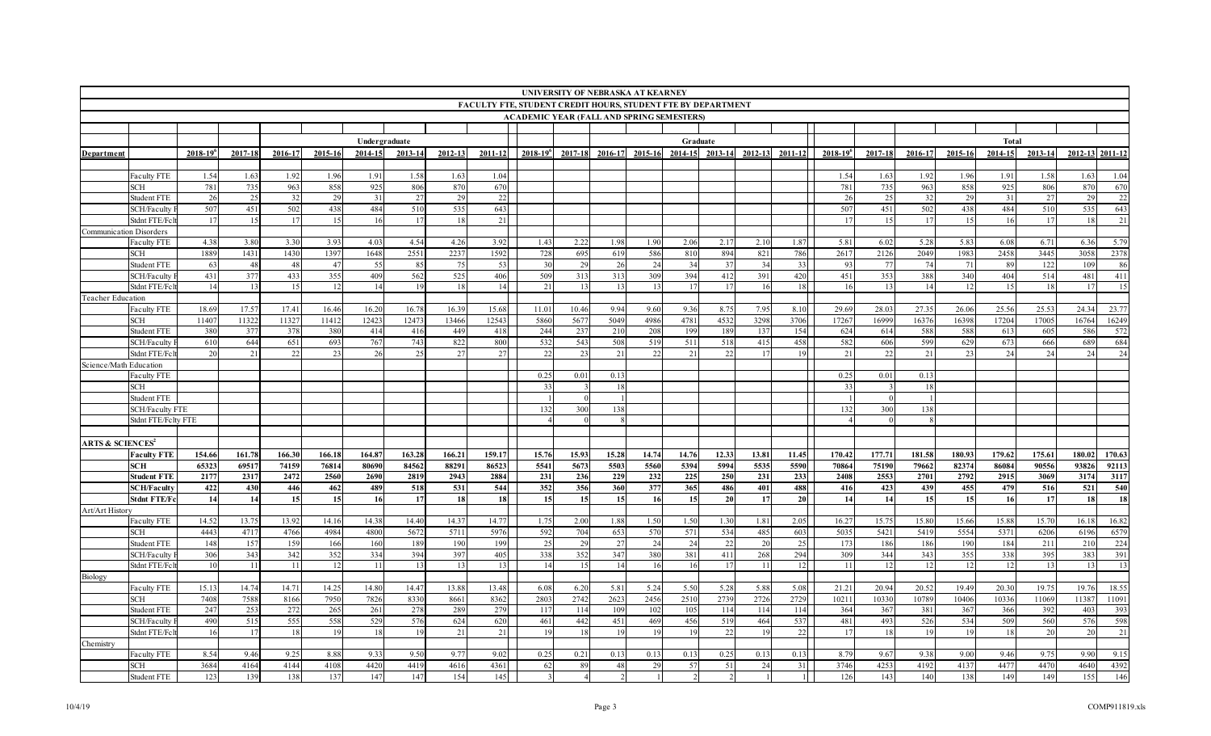|                                         | UNIVERSITY OF NEBRASKA AT KEARNEY<br><b>FACULTY FTE, STUDENT CREDIT HOURS, STUDENT FTE BY DEPARTMENT</b><br><b>ACADEMIC YEAR (FALL AND SPRING SEMESTERS)</b> |                 |           |           |           |               |           |           |           |                 |           |           |           |             |                  |                 |              |                        |           |            |           |           |           |                 |           |
|-----------------------------------------|--------------------------------------------------------------------------------------------------------------------------------------------------------------|-----------------|-----------|-----------|-----------|---------------|-----------|-----------|-----------|-----------------|-----------|-----------|-----------|-------------|------------------|-----------------|--------------|------------------------|-----------|------------|-----------|-----------|-----------|-----------------|-----------|
|                                         |                                                                                                                                                              |                 |           |           |           |               |           |           |           |                 |           |           |           |             |                  |                 |              |                        |           |            |           |           |           |                 |           |
|                                         |                                                                                                                                                              |                 |           |           |           |               |           |           |           |                 |           |           |           |             |                  |                 |              |                        |           |            |           |           |           |                 |           |
|                                         |                                                                                                                                                              |                 |           |           |           |               |           |           |           |                 |           |           |           |             |                  |                 |              |                        |           |            |           |           |           |                 |           |
|                                         |                                                                                                                                                              |                 |           |           |           | Undergraduate |           |           |           |                 |           |           |           | Graduate    |                  |                 |              |                        |           |            |           | Total     |           |                 |           |
| Department                              |                                                                                                                                                              | $2018 - 19^{6}$ | 2017-18   | 2016-17   | 2015-16   | 2014-15       | 2013-14   | 2012-13   | 2011-12   | $2018 - 19^{6}$ | 2017-18   | 2016-17   | 2015-16   | $2014 - 15$ | 2013-14          | 2012-13         | 2011-12      | 2018-19                | 2017-18   | 2016-17    | 2015-16   | 2014-15   | 2013-14   | 2012-13 2011-12 |           |
|                                         |                                                                                                                                                              |                 |           |           |           |               |           |           |           |                 |           |           |           |             |                  |                 |              |                        |           |            |           |           |           |                 |           |
|                                         | Faculty FTE                                                                                                                                                  | 1.54            | 1.63      | 1.92      | 1.96      | 1.91          | 1.58      | .63       | 1.04      |                 |           |           |           |             |                  |                 |              | 1.54                   | 1.63      | 1.92       | 1.96      | 1.91      | 1.58      | 1.63            | 1.04      |
|                                         | SCH                                                                                                                                                          | 781             | 735       | 963       | 858       | 925           | 806       | 870       | 670       |                 |           |           |           |             |                  |                 |              | 781                    | 735       | 963        | 858       | 925       | 806       | 870             | 670       |
|                                         | Student FTE<br>SCH/Faculty                                                                                                                                   | 26<br>507       | 25<br>451 | 32<br>502 | 29<br>438 | 31<br>484     | 27<br>510 | 29<br>535 | 22<br>643 |                 |           |           |           |             |                  |                 |              | 26<br>507              | 25<br>451 | 32<br>502  | 29<br>438 | 31<br>484 | 27<br>510 | 29<br>535       | 22<br>643 |
|                                         | Stdnt FTE/Fc                                                                                                                                                 | 17              | 15        | 17        | 15        | -16           | -17       | 18        | 21        |                 |           |           |           |             |                  |                 |              | - 11                   | 15        | 17         | 15        | 16        | 17        | 18              | 21        |
| Communication Disorders                 |                                                                                                                                                              |                 |           |           |           |               |           |           |           |                 |           |           |           |             |                  |                 |              |                        |           |            |           |           |           |                 |           |
|                                         | Faculty FTE                                                                                                                                                  | 4.38            | 3.80      | 3.30      | 3.93      | 4.03          | 4.54      | 4.26      | 3.92      | 1.43            | 2.22      | 1.98      | 1.90      | 2.06        | 2.17             | 2.10            | 1.87         | 5.81                   | 6.02      | 5.28       | 5.83      | 6.08      | 6.71      | 6.36            | 5.79      |
|                                         | SCH                                                                                                                                                          | 1889            | 1431      | 1430      | 1397      | 1648          | 2551      | 2237      | 1592      | 728             | 695       | 619       | 586       | 810         | 894              | 821             | 786          | 2617                   | 2126      | 2049       | 1983      | 2458      | 3445      | 3058            | 2378      |
|                                         | <b>Student FTE</b>                                                                                                                                           | 63              | 48        | 48        | 47        | 55            | 85        | 75        | 53        | -30             | 29        | -26       | 24        | 34          | 37               | 34              | 33           | 93                     | - 77      | 74         | -71       | 89        | 122       | 109             | 86        |
|                                         | SCH/Faculty                                                                                                                                                  | 431             | 377       | 433       | 355       | 409           | 562       | 525       | 406       | 509             | 313       | 313       | 309       | 394         | 412              | 391             | 420          | 451                    | 353       | 388        | 340       | 404       | 514       | 481             | 411       |
|                                         | Stdnt FTE/Fc1                                                                                                                                                | 14              | 13        | 15        | 12        | 14            | 19        | 18        | 14        | 21              | 13        |           | 13        | 17          | 17               | 16              | 18           | -16                    | 13        | 14         |           | 15        | 18        |                 | 15        |
| Teacher Education                       |                                                                                                                                                              |                 |           |           |           |               |           |           |           |                 |           |           |           |             |                  |                 |              |                        |           |            |           |           |           |                 |           |
|                                         | <b>Faculty FTE</b>                                                                                                                                           | 18.69           | 17.57     | 17.41     | 16.46     | 16.20         | 16.7      | 16.39     | 15.68     | 11.01           | 10.46     | 9.94      | 9.60      | 9.36        | 8.7              | 7.95            | 8.10         | 29.69                  | 28.03     | 27.35      | 26.06     | 25.56     | 25.53     | 24.34           | 23.77     |
|                                         | <b>SCH</b>                                                                                                                                                   | 11407           | 11322     | 11327     | 11412     | 12423         | 1247      | 13466     | 12543     | 5860            | 5677      | 5049      | 4986      | 4781        | 4532             | 3298            | 3706         | 17267                  | 16999     | 16376      | 16398     | 17204     | 17005     | 16764           | 16249     |
|                                         | Student FTE                                                                                                                                                  | 380             | 377       | 378       | 380       | 414           | 416       | 449       | 418       | 244             | 23'       | 210       | 208       | 199         | 189              | 13'             | 154          | 624                    | 614       | 588        | 588       | 613       | 605       | 586             | 572       |
|                                         | SCH/Faculty                                                                                                                                                  | 610             | 644       | 651       | 693       | 767           | 743       | 822       | 800       | 532             | 543       | 508       | 519       | 511         | 518              | 415             | 458          | 582                    | 606       | 599        | 629       | 673       | 666       | 689             | 684       |
|                                         | Stdnt FTE/Fc                                                                                                                                                 | 20              | 21        | 22        | 23        | 26            | 25        | 27        | 27        | 22              | 23        | 21        | 22        | 21          | 22               | -17             | 19           | 21                     | 22        | 21         | 23        | 24        | 24        | 24              | 24        |
| Science/Math Education                  |                                                                                                                                                              |                 |           |           |           |               |           |           |           | 0.25            |           | 0.13      |           |             |                  |                 |              | 0.25                   |           |            |           |           |           |                 |           |
|                                         | <b>Faculty FTE</b><br>SCH                                                                                                                                    |                 |           |           |           |               |           |           |           | 33              | 0.01      |           |           |             |                  |                 |              | -33                    | 0.01      | 0.13<br>18 |           |           |           |                 |           |
|                                         | Student FTE                                                                                                                                                  |                 |           |           |           |               |           |           |           |                 |           |           |           |             |                  |                 |              |                        |           |            |           |           |           |                 |           |
|                                         | <b>SCH/Faculty FTE</b>                                                                                                                                       |                 |           |           |           |               |           |           |           | 132             | 300       | 138       |           |             |                  |                 |              | 132                    | 300       | 138        |           |           |           |                 |           |
|                                         | Stdnt FTE/Fclty FTE                                                                                                                                          |                 |           |           |           |               |           |           |           |                 |           |           |           |             |                  |                 |              |                        |           |            |           |           |           |                 |           |
|                                         |                                                                                                                                                              |                 |           |           |           |               |           |           |           |                 |           |           |           |             |                  |                 |              |                        |           |            |           |           |           |                 |           |
| <b>ARTS &amp; SCIENCES</b> <sup>2</sup> |                                                                                                                                                              |                 |           |           |           |               |           |           |           |                 |           |           |           |             |                  |                 |              |                        |           |            |           |           |           |                 |           |
|                                         | <b>Faculty FTE</b>                                                                                                                                           | 154.66          | 161.78    | 166.30    | 166.18    | 164.87        | 163.28    | 166.21    | 159.17    | 15.76           | 15.93     | 15.28     | 14.74     | 14.76       | 12.33            | 13.81           | 11.45        | 170.42                 | 177.71    | 181.58     | 180.93    | 179.62    | 175.61    | 180.02          | 170.63    |
|                                         | <b>SCH</b>                                                                                                                                                   | 65323           | 69517     | 74159     | 76814     | 80690         | 84562     | 88291     | 86523     | 5541            | 5673      | 5503      | 5560      | 5394        | 5994             | 5535            | 5590         | 70864                  | 75190     | 79662      | 82374     | 86084     | 90556     | 93826           | 92113     |
|                                         | <b>Student FTE</b>                                                                                                                                           | 2177            | 2317      | 2472      | 2560      | 2690          | 2819      | 2943      | 2884      | 231             | 236       | 229       | 232       | 225         | 250              | 231             | 233          | 2408                   | 2553      | 2701       | 2792      | 2915      | 3069      | 3174            | 3117      |
|                                         | <b>SCH/Faculty</b>                                                                                                                                           | 422             | 430       | 446       | 462       | 489           | 518       | 531       | 544       | 352             | 356       | 360       | 377       | 365         | 486              | 401             | 488          | 416                    | 423       | 439        | 455       | 479       | 516       | 521             | 540       |
|                                         | <b>Stdnt FTE/Fc</b>                                                                                                                                          | 14              | 14        | 15        | 15        | 16            | 17        | 18        | 18        | 15              | 15        | 15        | 16        | 15          | 20               | 17              | 20           | 14                     | 14        | 15         | 15        | 16        | 17        | 18              | 18        |
| Art/Art History                         |                                                                                                                                                              |                 |           |           |           |               |           |           |           |                 |           |           |           |             |                  |                 |              |                        |           |            |           |           |           |                 |           |
|                                         | Faculty FTE                                                                                                                                                  | 14.52           | 13.75     | 13.92     | 14.16     | 14.38         | 14.40     | 14.37     | 14.77     | 1.75            | 2.00      | 1.88      | 1.50      | 1.50        | 1.3 <sub>0</sub> | 1.81            | 2.05         | 16.27                  | 15.75     | 15.80      | 15.66     | 15.88     | 15.70     | 16.18           | 16.82     |
|                                         | SCH                                                                                                                                                          | 4443            | 4717      | 4766      | 4984      | 4800          | 5672      | 5711      | 5976      | 592             | 704       | 653       | 570       | 571         | 534              | 485             | 603          | 5035                   | 5421      | 5419       | 5554      | 5371      | 6206      | 6196            | 6579      |
|                                         | <b>Student FTE</b>                                                                                                                                           | 148             | 157       | 159       | 166       | 160           | 189       | 190       | 199       | 25              | 29        | 27        | 24        | 24          | 22               | 20              | 25           | 173                    | 186       | 186        | 190       | 184       | 211       | 210             | 224       |
|                                         | <b>SCH/Faculty</b><br>Stdnt FTE/Fc                                                                                                                           | 306<br>10       | 343<br>11 | 342<br>11 | 352<br>12 | 334<br>11     | 394<br>13 | 397<br>13 | 405<br>13 | 338<br>14       | 352<br>15 | 347<br>14 | 380<br>16 | 381<br>16   | 411<br>17        | 268             | 294<br>12    | 309<br>$\overline{11}$ | 344<br>12 | 343<br>12  | 355<br>12 | 338<br>12 | 395<br>13 | 383<br>13       | 391<br>13 |
| Biology                                 |                                                                                                                                                              |                 |           |           |           |               |           |           |           |                 |           |           |           |             |                  |                 |              |                        |           |            |           |           |           |                 |           |
|                                         | Faculty FTE                                                                                                                                                  | 15.13           | 14.74     | 14.71     | 14.25     | 14.80         | 14.47     | 13.88     | 13.48     | 6.08            | 6.20      | 5.81      | 5.24      | 5.50        | 5.28             | 5.88            | 5.08         | 21.21                  | 20.94     | 20.52      | 19.49     | 20.30     | 19.75     | 19.76           | 18.55     |
|                                         | SCH                                                                                                                                                          | 7408            | 7588      | 8166      | 7950      | 7826          | 8330      | 8661      | 8362      | 2803            | 2742      | 2623      | 2456      | 2510        | 2739             | 2726            | 2729         | 1021                   | 10330     | 10789      | 10406     | 10336     | 11069     | 11387           | 11091     |
|                                         | Student FTE                                                                                                                                                  | 247             | 253       | 272       | 265       | 261           | 278       | 289       | 279       | 117             | 114       | 109       | 102       | 105         | 114              | 11 <sup>2</sup> | 114          | 364                    | 367       | 381        | 367       | 366       | 392       | 403             | 393       |
|                                         | SCH/Faculty                                                                                                                                                  | 490             | 515       | 555       | 558       | 529           | 576       | 624       | 620       | 461             | 442       | 451       | 469       | 456         | 519              | 464             | 537          | 481                    | 493       | 526        | 534       | 509       | 560       | 576             | 598       |
|                                         | Stdnt FTE/Fc                                                                                                                                                 | -16             | 17        | 18        | 19        | 18            | -19       | 21        | 21        | 19              | 18        | 19        | 19        | 19          | 22               | 19              | 22           | - 17                   | -18       | 19         | 19        | 18        | 20        | 20              | 21        |
| Chemistry                               |                                                                                                                                                              |                 |           |           |           |               |           |           |           |                 |           |           |           |             |                  |                 |              |                        |           |            |           |           |           |                 |           |
|                                         | Faculty FTE                                                                                                                                                  | 8.54            | 9.46      | 9.25      | 8.88      | 9.33          | 9.50      | 9.77      | 9.02      | 0.25            | 0.21      | 0.13      | 0.13      | 0.13        | 0.25             | 0.13            | 0.13         | 8.79                   | 9.67      | 9.38       | 9.00      | 9.46      | 9.75      | 9.90            | 9.15      |
|                                         | <b>SCH</b>                                                                                                                                                   | 3684            | 4164      | 4144      | 4108      | 4420          | 4419      | 4616      | 4361      | 62              | 89        | 48        | 29        | 57          | 51               | 24              | 31           | 3746                   | 4253      | 4192       | 4137      | 4477      | 4470      | 4640            | 4392      |
|                                         | <b>Student FTE</b>                                                                                                                                           | 123             | 139       | 138       | 137       | 147           | 147       | 154       | 145       |                 |           |           |           |             |                  |                 | $\mathbf{1}$ | 126                    | 143       | 140        | 138       | 149       | 149       | 155             | 146       |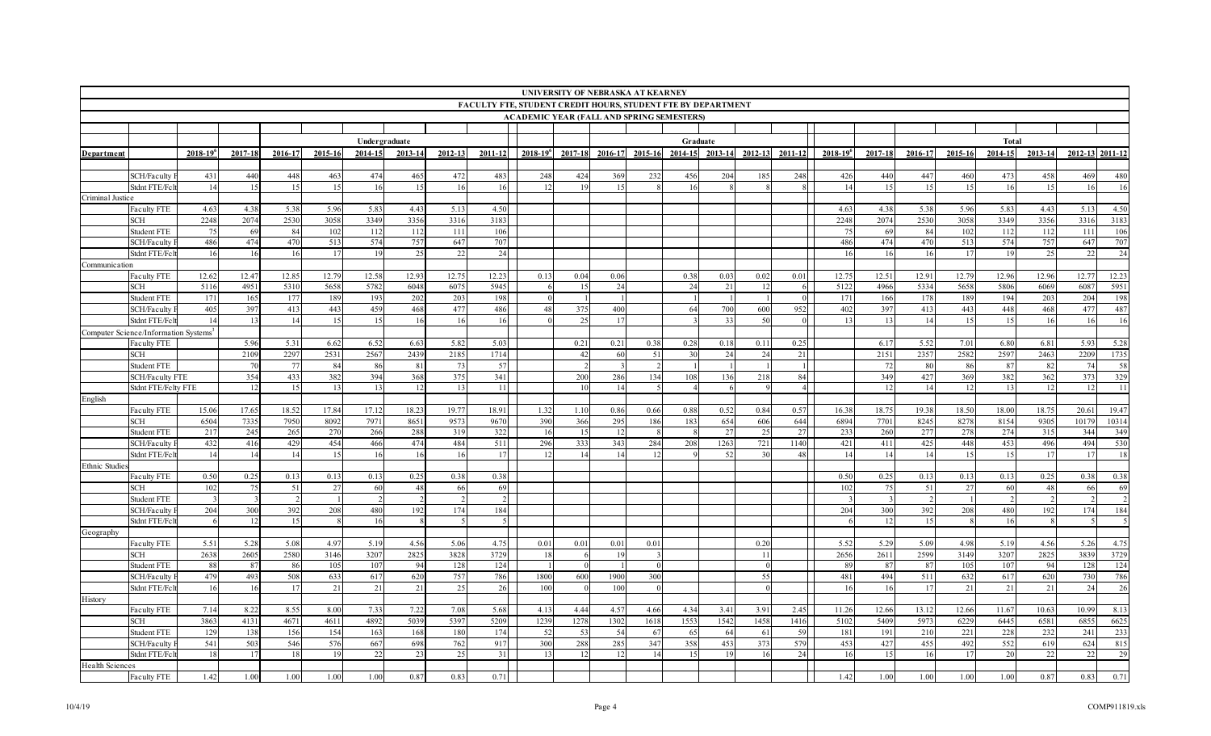| <b>FACULTY FTE, STUDENT CREDIT HOURS, STUDENT FTE BY DEPARTMENT</b><br><b>ACADEMIC YEAR (FALL AND SPRING SEMESTERS)</b><br>Undergraduate<br>Graduate<br>Total<br>2016-17<br>2012-13<br>2015-16<br>2014-15<br>2012-13<br>$2018 - 19^{6}$<br>2014-15<br>2013-14<br>2012-13 2011-12<br>$2018 - 19^{6}$<br>2017-18<br>2015-16<br>2014-15<br>2013-14<br>2011-12<br>$2018 - 19^{6}$<br>2017-18<br>2016-17<br>2013-14<br>$2011 - 12$<br>2017-18<br>2016-17<br>2015-16<br>Department<br><b>SCH/Faculty</b><br>431<br>440<br>448<br>463<br>474<br>465<br>472<br>483<br>456<br>204<br>248<br>426<br>440<br>447<br>460<br>473<br>458<br>480<br>248<br>424<br>369<br>232<br>185<br>469<br>14<br>15<br>Stdnt FTE/Fc1<br>15<br>15<br>16<br>16<br>15<br>15<br>16<br>16<br>16<br>-16<br>12<br>16<br>-14<br>15<br>15<br>Criminal Justice<br>4.50<br>4.38<br>5.38<br>5.83<br>5.13<br>4.50<br>5.38<br>5.96<br>Faculty FTE<br>4.63<br>5.96<br>4.43<br>4.63<br>4.38<br>5.83<br>4.43<br>5.13<br>2248<br>2074<br>2530<br>3058<br>3349<br>3356<br>3183<br>2530<br>3058<br>3349<br>3356<br>3316<br>3183<br>3316<br>2248<br>2074<br>SCH<br>106<br>106<br>84<br>Student FTE<br>75<br>69<br>102<br>112<br>112<br>111<br>84<br>102<br>112<br>112<br>111<br>$7^{\circ}$<br>-69<br>486<br>474<br>470<br>574<br>707<br>474<br>707<br>SCH/Faculty<br>513<br>757<br>647<br>486<br>470<br>513<br>574<br>757<br>647<br>24<br>24<br>Stdnt FTE/Fc<br>16<br>16<br>17<br>19<br>25<br>22<br>-16<br>16<br>16<br>17<br>19<br>25<br>16<br>22<br>Communication<br>12.23<br><b>Faculty FTE</b><br>12.62<br>12.47<br>12.85<br>12.79<br>12.58<br>12.93<br>12.75<br>12.23<br>0.13<br>0.04<br>0.06<br>0.38<br>0.03<br>0.02<br>0.01<br>12.75<br>12.51<br>12.91<br>12.79<br>12.96<br>12.96<br>12.77<br>5945<br>5951<br><b>SCH</b><br>5116<br>4951<br>5310<br>5658<br>5782<br>6048<br>6075<br>24<br>21<br>5122<br>4966<br>5334<br>5658<br>5806<br>6069<br>6087<br>15<br>24<br>198<br>198<br><b>Student FTE</b><br>171<br>165<br>177<br>189<br>193<br>202<br>203<br>171<br>166<br>178<br>189<br>194<br>203<br>204<br>$\Omega$<br>487<br>486<br>400<br>397<br>405<br>397<br>413<br>443<br>459<br>468<br>477<br>48<br>700<br>600<br>952<br>402<br>413<br>443<br>448<br>468<br>SCH/Faculty<br>375<br>-64<br>477<br>14<br>15<br>15<br>16<br>16<br>33<br>14<br>15<br>15<br>16<br>16<br>Stdnt FTE/Fc<br>14<br>13<br>16<br>25<br>17<br>50<br>13<br>13<br>16<br>Computer Science/Information Systems <sup>3</sup><br>5.28<br>5.96<br>5.31<br>6.52<br>5.03<br>0.25<br>5.52<br>7.01<br>5.93<br><b>Faculty FTE</b><br>6.62<br>6.63<br>5.82<br>0.21<br>0.21<br>0.38<br>0.28<br>0.18<br>0.11<br>6.17<br>6.80<br>6.81<br>2109<br>2297<br>2531<br>2567<br>2151<br>2357<br>2582<br>2597<br>1735<br><b>SCH</b><br>2439<br>2185<br>1714<br>60<br>51<br>30<br>24<br>21<br>2463<br>2209<br>42<br>- 24<br>57<br>58<br><b>Student FTE</b><br>70<br>77<br>84<br>86<br>81<br>73<br>72<br>80<br>86<br>87<br>74<br>$\overline{1}$<br>82<br>329<br>375<br>341<br>349<br>354<br>433<br>382<br>394<br>368<br>286<br>134<br>108<br>136<br>218<br>84<br>427<br>369<br>382<br>362<br>373<br><b>SCH/Faculty FTE</b><br>200<br>11<br>11<br>Stdnt FTE/Felty FTE<br>12<br>15<br>13<br>13<br>13<br>12<br>14<br>13<br>12<br>12<br>English<br>15.06<br>17.65<br>18.52<br>17.84<br>17.12<br>18.23<br>19.7'<br>18.91<br>0.57<br>16.38<br>18.75<br>19.38<br>18.50<br>18.00<br>19.47<br>Faculty FTE<br>1.32<br>1.10<br>0.86<br>0.66<br>0.88<br>0.52<br>0.84<br>18.75<br>20.61<br>6504<br>10314<br>7335<br>7950<br>8092<br>7971<br>8651<br>957<br>9670<br>390<br>366<br>654<br>606<br>644<br>6894<br>7701<br>8245<br>8278<br>9305<br>10179<br>SCH<br>295<br>186<br>183<br>8154<br>349<br>Student FTE<br>217<br>245<br>265<br>270<br>266<br>288<br>319<br>322<br>27<br>27<br>233<br>260<br>277<br>278<br>274<br>315<br>16<br>25<br>344<br>15<br>12<br>530<br>432<br>429<br>454<br>466<br>474<br>484<br>511<br>296<br>343<br>1263<br>721<br>1140<br>421<br>411<br>425<br>448<br>496<br><b>SCH/Faculty</b><br>416<br>333<br>284<br>208<br>453<br>494<br>17<br>Stdnt FTE/Fc<br>14<br>14<br>14<br>15<br>16<br>16<br>16<br>12<br>12<br>52<br>48<br>14<br>14<br>14<br>15<br>15<br>17<br>17<br>18<br>14<br>14<br>30<br>Ethnic Studie<br>0.38<br>0.50<br>0.25<br>0.13<br>0.13<br>0.13<br>0.25<br>0.38<br>0.38<br>0.13<br>0.25<br>0.38<br>Faculty FTE<br>0.50<br>0.25<br>0.13<br>0.13<br>69<br>51<br>27<br>69<br>27<br>SCH<br>102<br>75<br>60<br>48<br>102<br>75<br>51<br>60<br>48<br>66<br>Student FTE<br>184<br>184<br>204<br>208<br>480<br>300<br>392<br>208<br>480<br>SCH/Faculty<br>300<br>392<br>192<br>174<br>204<br>192<br>174<br>Stdnt FTE/Fc1<br>15<br>15<br>16<br>12<br>16<br>$\sim$<br>12<br>Geography<br>5.51<br>4.75<br>5.52<br>5.29<br>4.75<br>5.28<br>5.08<br>4.97<br>5.19<br>4.56<br>5.06<br>0.20<br>5.09<br>5.19<br>5.26<br>Faculty FTE<br>0.01<br>0.01<br>0.01<br>0.01<br>4.98<br>4.56 |
|-----------------------------------------------------------------------------------------------------------------------------------------------------------------------------------------------------------------------------------------------------------------------------------------------------------------------------------------------------------------------------------------------------------------------------------------------------------------------------------------------------------------------------------------------------------------------------------------------------------------------------------------------------------------------------------------------------------------------------------------------------------------------------------------------------------------------------------------------------------------------------------------------------------------------------------------------------------------------------------------------------------------------------------------------------------------------------------------------------------------------------------------------------------------------------------------------------------------------------------------------------------------------------------------------------------------------------------------------------------------------------------------------------------------------------------------------------------------------------------------------------------------------------------------------------------------------------------------------------------------------------------------------------------------------------------------------------------------------------------------------------------------------------------------------------------------------------------------------------------------------------------------------------------------------------------------------------------------------------------------------------------------------------------------------------------------------------------------------------------------------------------------------------------------------------------------------------------------------------------------------------------------------------------------------------------------------------------------------------------------------------------------------------------------------------------------------------------------------------------------------------------------------------------------------------------------------------------------------------------------------------------------------------------------------------------------------------------------------------------------------------------------------------------------------------------------------------------------------------------------------------------------------------------------------------------------------------------------------------------------------------------------------------------------------------------------------------------------------------------------------------------------------------------------------------------------------------------------------------------------------------------------------------------------------------------------------------------------------------------------------------------------------------------------------------------------------------------------------------------------------------------------------------------------------------------------------------------------------------------------------------------------------------------------------------------------------------------------------------------------------------------------------------------------------------------------------------------------------------------------------------------------------------------------------------------------------------------------------------------------------------------------------------------------------------------------------------------------------------------------------------------------------------------------------------------------------------------------------------------------------------------------------------------------------------------------------------------------------------------------------------------------------------------------------------------------------------------------------------------------------------------------------------------------------------------------------------------------------------------------------------------------------------------------------------------------------------------------------------------------------------------------------------------------------------------------------------------------------------------------------------------------------|
|                                                                                                                                                                                                                                                                                                                                                                                                                                                                                                                                                                                                                                                                                                                                                                                                                                                                                                                                                                                                                                                                                                                                                                                                                                                                                                                                                                                                                                                                                                                                                                                                                                                                                                                                                                                                                                                                                                                                                                                                                                                                                                                                                                                                                                                                                                                                                                                                                                                                                                                                                                                                                                                                                                                                                                                                                                                                                                                                                                                                                                                                                                                                                                                                                                                                                                                                                                                                                                                                                                                                                                                                                                                                                                                                                                                                                                                                                                                                                                                                                                                                                                                                                                                                                                                                                                                                                                                                                                                                                                                                                                                                                                                                                                                                                                                                                                                                                               |
|                                                                                                                                                                                                                                                                                                                                                                                                                                                                                                                                                                                                                                                                                                                                                                                                                                                                                                                                                                                                                                                                                                                                                                                                                                                                                                                                                                                                                                                                                                                                                                                                                                                                                                                                                                                                                                                                                                                                                                                                                                                                                                                                                                                                                                                                                                                                                                                                                                                                                                                                                                                                                                                                                                                                                                                                                                                                                                                                                                                                                                                                                                                                                                                                                                                                                                                                                                                                                                                                                                                                                                                                                                                                                                                                                                                                                                                                                                                                                                                                                                                                                                                                                                                                                                                                                                                                                                                                                                                                                                                                                                                                                                                                                                                                                                                                                                                                                               |
|                                                                                                                                                                                                                                                                                                                                                                                                                                                                                                                                                                                                                                                                                                                                                                                                                                                                                                                                                                                                                                                                                                                                                                                                                                                                                                                                                                                                                                                                                                                                                                                                                                                                                                                                                                                                                                                                                                                                                                                                                                                                                                                                                                                                                                                                                                                                                                                                                                                                                                                                                                                                                                                                                                                                                                                                                                                                                                                                                                                                                                                                                                                                                                                                                                                                                                                                                                                                                                                                                                                                                                                                                                                                                                                                                                                                                                                                                                                                                                                                                                                                                                                                                                                                                                                                                                                                                                                                                                                                                                                                                                                                                                                                                                                                                                                                                                                                                               |
|                                                                                                                                                                                                                                                                                                                                                                                                                                                                                                                                                                                                                                                                                                                                                                                                                                                                                                                                                                                                                                                                                                                                                                                                                                                                                                                                                                                                                                                                                                                                                                                                                                                                                                                                                                                                                                                                                                                                                                                                                                                                                                                                                                                                                                                                                                                                                                                                                                                                                                                                                                                                                                                                                                                                                                                                                                                                                                                                                                                                                                                                                                                                                                                                                                                                                                                                                                                                                                                                                                                                                                                                                                                                                                                                                                                                                                                                                                                                                                                                                                                                                                                                                                                                                                                                                                                                                                                                                                                                                                                                                                                                                                                                                                                                                                                                                                                                                               |
|                                                                                                                                                                                                                                                                                                                                                                                                                                                                                                                                                                                                                                                                                                                                                                                                                                                                                                                                                                                                                                                                                                                                                                                                                                                                                                                                                                                                                                                                                                                                                                                                                                                                                                                                                                                                                                                                                                                                                                                                                                                                                                                                                                                                                                                                                                                                                                                                                                                                                                                                                                                                                                                                                                                                                                                                                                                                                                                                                                                                                                                                                                                                                                                                                                                                                                                                                                                                                                                                                                                                                                                                                                                                                                                                                                                                                                                                                                                                                                                                                                                                                                                                                                                                                                                                                                                                                                                                                                                                                                                                                                                                                                                                                                                                                                                                                                                                                               |
|                                                                                                                                                                                                                                                                                                                                                                                                                                                                                                                                                                                                                                                                                                                                                                                                                                                                                                                                                                                                                                                                                                                                                                                                                                                                                                                                                                                                                                                                                                                                                                                                                                                                                                                                                                                                                                                                                                                                                                                                                                                                                                                                                                                                                                                                                                                                                                                                                                                                                                                                                                                                                                                                                                                                                                                                                                                                                                                                                                                                                                                                                                                                                                                                                                                                                                                                                                                                                                                                                                                                                                                                                                                                                                                                                                                                                                                                                                                                                                                                                                                                                                                                                                                                                                                                                                                                                                                                                                                                                                                                                                                                                                                                                                                                                                                                                                                                                               |
|                                                                                                                                                                                                                                                                                                                                                                                                                                                                                                                                                                                                                                                                                                                                                                                                                                                                                                                                                                                                                                                                                                                                                                                                                                                                                                                                                                                                                                                                                                                                                                                                                                                                                                                                                                                                                                                                                                                                                                                                                                                                                                                                                                                                                                                                                                                                                                                                                                                                                                                                                                                                                                                                                                                                                                                                                                                                                                                                                                                                                                                                                                                                                                                                                                                                                                                                                                                                                                                                                                                                                                                                                                                                                                                                                                                                                                                                                                                                                                                                                                                                                                                                                                                                                                                                                                                                                                                                                                                                                                                                                                                                                                                                                                                                                                                                                                                                                               |
|                                                                                                                                                                                                                                                                                                                                                                                                                                                                                                                                                                                                                                                                                                                                                                                                                                                                                                                                                                                                                                                                                                                                                                                                                                                                                                                                                                                                                                                                                                                                                                                                                                                                                                                                                                                                                                                                                                                                                                                                                                                                                                                                                                                                                                                                                                                                                                                                                                                                                                                                                                                                                                                                                                                                                                                                                                                                                                                                                                                                                                                                                                                                                                                                                                                                                                                                                                                                                                                                                                                                                                                                                                                                                                                                                                                                                                                                                                                                                                                                                                                                                                                                                                                                                                                                                                                                                                                                                                                                                                                                                                                                                                                                                                                                                                                                                                                                                               |
|                                                                                                                                                                                                                                                                                                                                                                                                                                                                                                                                                                                                                                                                                                                                                                                                                                                                                                                                                                                                                                                                                                                                                                                                                                                                                                                                                                                                                                                                                                                                                                                                                                                                                                                                                                                                                                                                                                                                                                                                                                                                                                                                                                                                                                                                                                                                                                                                                                                                                                                                                                                                                                                                                                                                                                                                                                                                                                                                                                                                                                                                                                                                                                                                                                                                                                                                                                                                                                                                                                                                                                                                                                                                                                                                                                                                                                                                                                                                                                                                                                                                                                                                                                                                                                                                                                                                                                                                                                                                                                                                                                                                                                                                                                                                                                                                                                                                                               |
|                                                                                                                                                                                                                                                                                                                                                                                                                                                                                                                                                                                                                                                                                                                                                                                                                                                                                                                                                                                                                                                                                                                                                                                                                                                                                                                                                                                                                                                                                                                                                                                                                                                                                                                                                                                                                                                                                                                                                                                                                                                                                                                                                                                                                                                                                                                                                                                                                                                                                                                                                                                                                                                                                                                                                                                                                                                                                                                                                                                                                                                                                                                                                                                                                                                                                                                                                                                                                                                                                                                                                                                                                                                                                                                                                                                                                                                                                                                                                                                                                                                                                                                                                                                                                                                                                                                                                                                                                                                                                                                                                                                                                                                                                                                                                                                                                                                                                               |
|                                                                                                                                                                                                                                                                                                                                                                                                                                                                                                                                                                                                                                                                                                                                                                                                                                                                                                                                                                                                                                                                                                                                                                                                                                                                                                                                                                                                                                                                                                                                                                                                                                                                                                                                                                                                                                                                                                                                                                                                                                                                                                                                                                                                                                                                                                                                                                                                                                                                                                                                                                                                                                                                                                                                                                                                                                                                                                                                                                                                                                                                                                                                                                                                                                                                                                                                                                                                                                                                                                                                                                                                                                                                                                                                                                                                                                                                                                                                                                                                                                                                                                                                                                                                                                                                                                                                                                                                                                                                                                                                                                                                                                                                                                                                                                                                                                                                                               |
|                                                                                                                                                                                                                                                                                                                                                                                                                                                                                                                                                                                                                                                                                                                                                                                                                                                                                                                                                                                                                                                                                                                                                                                                                                                                                                                                                                                                                                                                                                                                                                                                                                                                                                                                                                                                                                                                                                                                                                                                                                                                                                                                                                                                                                                                                                                                                                                                                                                                                                                                                                                                                                                                                                                                                                                                                                                                                                                                                                                                                                                                                                                                                                                                                                                                                                                                                                                                                                                                                                                                                                                                                                                                                                                                                                                                                                                                                                                                                                                                                                                                                                                                                                                                                                                                                                                                                                                                                                                                                                                                                                                                                                                                                                                                                                                                                                                                                               |
|                                                                                                                                                                                                                                                                                                                                                                                                                                                                                                                                                                                                                                                                                                                                                                                                                                                                                                                                                                                                                                                                                                                                                                                                                                                                                                                                                                                                                                                                                                                                                                                                                                                                                                                                                                                                                                                                                                                                                                                                                                                                                                                                                                                                                                                                                                                                                                                                                                                                                                                                                                                                                                                                                                                                                                                                                                                                                                                                                                                                                                                                                                                                                                                                                                                                                                                                                                                                                                                                                                                                                                                                                                                                                                                                                                                                                                                                                                                                                                                                                                                                                                                                                                                                                                                                                                                                                                                                                                                                                                                                                                                                                                                                                                                                                                                                                                                                                               |
|                                                                                                                                                                                                                                                                                                                                                                                                                                                                                                                                                                                                                                                                                                                                                                                                                                                                                                                                                                                                                                                                                                                                                                                                                                                                                                                                                                                                                                                                                                                                                                                                                                                                                                                                                                                                                                                                                                                                                                                                                                                                                                                                                                                                                                                                                                                                                                                                                                                                                                                                                                                                                                                                                                                                                                                                                                                                                                                                                                                                                                                                                                                                                                                                                                                                                                                                                                                                                                                                                                                                                                                                                                                                                                                                                                                                                                                                                                                                                                                                                                                                                                                                                                                                                                                                                                                                                                                                                                                                                                                                                                                                                                                                                                                                                                                                                                                                                               |
|                                                                                                                                                                                                                                                                                                                                                                                                                                                                                                                                                                                                                                                                                                                                                                                                                                                                                                                                                                                                                                                                                                                                                                                                                                                                                                                                                                                                                                                                                                                                                                                                                                                                                                                                                                                                                                                                                                                                                                                                                                                                                                                                                                                                                                                                                                                                                                                                                                                                                                                                                                                                                                                                                                                                                                                                                                                                                                                                                                                                                                                                                                                                                                                                                                                                                                                                                                                                                                                                                                                                                                                                                                                                                                                                                                                                                                                                                                                                                                                                                                                                                                                                                                                                                                                                                                                                                                                                                                                                                                                                                                                                                                                                                                                                                                                                                                                                                               |
|                                                                                                                                                                                                                                                                                                                                                                                                                                                                                                                                                                                                                                                                                                                                                                                                                                                                                                                                                                                                                                                                                                                                                                                                                                                                                                                                                                                                                                                                                                                                                                                                                                                                                                                                                                                                                                                                                                                                                                                                                                                                                                                                                                                                                                                                                                                                                                                                                                                                                                                                                                                                                                                                                                                                                                                                                                                                                                                                                                                                                                                                                                                                                                                                                                                                                                                                                                                                                                                                                                                                                                                                                                                                                                                                                                                                                                                                                                                                                                                                                                                                                                                                                                                                                                                                                                                                                                                                                                                                                                                                                                                                                                                                                                                                                                                                                                                                                               |
|                                                                                                                                                                                                                                                                                                                                                                                                                                                                                                                                                                                                                                                                                                                                                                                                                                                                                                                                                                                                                                                                                                                                                                                                                                                                                                                                                                                                                                                                                                                                                                                                                                                                                                                                                                                                                                                                                                                                                                                                                                                                                                                                                                                                                                                                                                                                                                                                                                                                                                                                                                                                                                                                                                                                                                                                                                                                                                                                                                                                                                                                                                                                                                                                                                                                                                                                                                                                                                                                                                                                                                                                                                                                                                                                                                                                                                                                                                                                                                                                                                                                                                                                                                                                                                                                                                                                                                                                                                                                                                                                                                                                                                                                                                                                                                                                                                                                                               |
|                                                                                                                                                                                                                                                                                                                                                                                                                                                                                                                                                                                                                                                                                                                                                                                                                                                                                                                                                                                                                                                                                                                                                                                                                                                                                                                                                                                                                                                                                                                                                                                                                                                                                                                                                                                                                                                                                                                                                                                                                                                                                                                                                                                                                                                                                                                                                                                                                                                                                                                                                                                                                                                                                                                                                                                                                                                                                                                                                                                                                                                                                                                                                                                                                                                                                                                                                                                                                                                                                                                                                                                                                                                                                                                                                                                                                                                                                                                                                                                                                                                                                                                                                                                                                                                                                                                                                                                                                                                                                                                                                                                                                                                                                                                                                                                                                                                                                               |
|                                                                                                                                                                                                                                                                                                                                                                                                                                                                                                                                                                                                                                                                                                                                                                                                                                                                                                                                                                                                                                                                                                                                                                                                                                                                                                                                                                                                                                                                                                                                                                                                                                                                                                                                                                                                                                                                                                                                                                                                                                                                                                                                                                                                                                                                                                                                                                                                                                                                                                                                                                                                                                                                                                                                                                                                                                                                                                                                                                                                                                                                                                                                                                                                                                                                                                                                                                                                                                                                                                                                                                                                                                                                                                                                                                                                                                                                                                                                                                                                                                                                                                                                                                                                                                                                                                                                                                                                                                                                                                                                                                                                                                                                                                                                                                                                                                                                                               |
|                                                                                                                                                                                                                                                                                                                                                                                                                                                                                                                                                                                                                                                                                                                                                                                                                                                                                                                                                                                                                                                                                                                                                                                                                                                                                                                                                                                                                                                                                                                                                                                                                                                                                                                                                                                                                                                                                                                                                                                                                                                                                                                                                                                                                                                                                                                                                                                                                                                                                                                                                                                                                                                                                                                                                                                                                                                                                                                                                                                                                                                                                                                                                                                                                                                                                                                                                                                                                                                                                                                                                                                                                                                                                                                                                                                                                                                                                                                                                                                                                                                                                                                                                                                                                                                                                                                                                                                                                                                                                                                                                                                                                                                                                                                                                                                                                                                                                               |
|                                                                                                                                                                                                                                                                                                                                                                                                                                                                                                                                                                                                                                                                                                                                                                                                                                                                                                                                                                                                                                                                                                                                                                                                                                                                                                                                                                                                                                                                                                                                                                                                                                                                                                                                                                                                                                                                                                                                                                                                                                                                                                                                                                                                                                                                                                                                                                                                                                                                                                                                                                                                                                                                                                                                                                                                                                                                                                                                                                                                                                                                                                                                                                                                                                                                                                                                                                                                                                                                                                                                                                                                                                                                                                                                                                                                                                                                                                                                                                                                                                                                                                                                                                                                                                                                                                                                                                                                                                                                                                                                                                                                                                                                                                                                                                                                                                                                                               |
|                                                                                                                                                                                                                                                                                                                                                                                                                                                                                                                                                                                                                                                                                                                                                                                                                                                                                                                                                                                                                                                                                                                                                                                                                                                                                                                                                                                                                                                                                                                                                                                                                                                                                                                                                                                                                                                                                                                                                                                                                                                                                                                                                                                                                                                                                                                                                                                                                                                                                                                                                                                                                                                                                                                                                                                                                                                                                                                                                                                                                                                                                                                                                                                                                                                                                                                                                                                                                                                                                                                                                                                                                                                                                                                                                                                                                                                                                                                                                                                                                                                                                                                                                                                                                                                                                                                                                                                                                                                                                                                                                                                                                                                                                                                                                                                                                                                                                               |
|                                                                                                                                                                                                                                                                                                                                                                                                                                                                                                                                                                                                                                                                                                                                                                                                                                                                                                                                                                                                                                                                                                                                                                                                                                                                                                                                                                                                                                                                                                                                                                                                                                                                                                                                                                                                                                                                                                                                                                                                                                                                                                                                                                                                                                                                                                                                                                                                                                                                                                                                                                                                                                                                                                                                                                                                                                                                                                                                                                                                                                                                                                                                                                                                                                                                                                                                                                                                                                                                                                                                                                                                                                                                                                                                                                                                                                                                                                                                                                                                                                                                                                                                                                                                                                                                                                                                                                                                                                                                                                                                                                                                                                                                                                                                                                                                                                                                                               |
|                                                                                                                                                                                                                                                                                                                                                                                                                                                                                                                                                                                                                                                                                                                                                                                                                                                                                                                                                                                                                                                                                                                                                                                                                                                                                                                                                                                                                                                                                                                                                                                                                                                                                                                                                                                                                                                                                                                                                                                                                                                                                                                                                                                                                                                                                                                                                                                                                                                                                                                                                                                                                                                                                                                                                                                                                                                                                                                                                                                                                                                                                                                                                                                                                                                                                                                                                                                                                                                                                                                                                                                                                                                                                                                                                                                                                                                                                                                                                                                                                                                                                                                                                                                                                                                                                                                                                                                                                                                                                                                                                                                                                                                                                                                                                                                                                                                                                               |
|                                                                                                                                                                                                                                                                                                                                                                                                                                                                                                                                                                                                                                                                                                                                                                                                                                                                                                                                                                                                                                                                                                                                                                                                                                                                                                                                                                                                                                                                                                                                                                                                                                                                                                                                                                                                                                                                                                                                                                                                                                                                                                                                                                                                                                                                                                                                                                                                                                                                                                                                                                                                                                                                                                                                                                                                                                                                                                                                                                                                                                                                                                                                                                                                                                                                                                                                                                                                                                                                                                                                                                                                                                                                                                                                                                                                                                                                                                                                                                                                                                                                                                                                                                                                                                                                                                                                                                                                                                                                                                                                                                                                                                                                                                                                                                                                                                                                                               |
|                                                                                                                                                                                                                                                                                                                                                                                                                                                                                                                                                                                                                                                                                                                                                                                                                                                                                                                                                                                                                                                                                                                                                                                                                                                                                                                                                                                                                                                                                                                                                                                                                                                                                                                                                                                                                                                                                                                                                                                                                                                                                                                                                                                                                                                                                                                                                                                                                                                                                                                                                                                                                                                                                                                                                                                                                                                                                                                                                                                                                                                                                                                                                                                                                                                                                                                                                                                                                                                                                                                                                                                                                                                                                                                                                                                                                                                                                                                                                                                                                                                                                                                                                                                                                                                                                                                                                                                                                                                                                                                                                                                                                                                                                                                                                                                                                                                                                               |
|                                                                                                                                                                                                                                                                                                                                                                                                                                                                                                                                                                                                                                                                                                                                                                                                                                                                                                                                                                                                                                                                                                                                                                                                                                                                                                                                                                                                                                                                                                                                                                                                                                                                                                                                                                                                                                                                                                                                                                                                                                                                                                                                                                                                                                                                                                                                                                                                                                                                                                                                                                                                                                                                                                                                                                                                                                                                                                                                                                                                                                                                                                                                                                                                                                                                                                                                                                                                                                                                                                                                                                                                                                                                                                                                                                                                                                                                                                                                                                                                                                                                                                                                                                                                                                                                                                                                                                                                                                                                                                                                                                                                                                                                                                                                                                                                                                                                                               |
|                                                                                                                                                                                                                                                                                                                                                                                                                                                                                                                                                                                                                                                                                                                                                                                                                                                                                                                                                                                                                                                                                                                                                                                                                                                                                                                                                                                                                                                                                                                                                                                                                                                                                                                                                                                                                                                                                                                                                                                                                                                                                                                                                                                                                                                                                                                                                                                                                                                                                                                                                                                                                                                                                                                                                                                                                                                                                                                                                                                                                                                                                                                                                                                                                                                                                                                                                                                                                                                                                                                                                                                                                                                                                                                                                                                                                                                                                                                                                                                                                                                                                                                                                                                                                                                                                                                                                                                                                                                                                                                                                                                                                                                                                                                                                                                                                                                                                               |
|                                                                                                                                                                                                                                                                                                                                                                                                                                                                                                                                                                                                                                                                                                                                                                                                                                                                                                                                                                                                                                                                                                                                                                                                                                                                                                                                                                                                                                                                                                                                                                                                                                                                                                                                                                                                                                                                                                                                                                                                                                                                                                                                                                                                                                                                                                                                                                                                                                                                                                                                                                                                                                                                                                                                                                                                                                                                                                                                                                                                                                                                                                                                                                                                                                                                                                                                                                                                                                                                                                                                                                                                                                                                                                                                                                                                                                                                                                                                                                                                                                                                                                                                                                                                                                                                                                                                                                                                                                                                                                                                                                                                                                                                                                                                                                                                                                                                                               |
|                                                                                                                                                                                                                                                                                                                                                                                                                                                                                                                                                                                                                                                                                                                                                                                                                                                                                                                                                                                                                                                                                                                                                                                                                                                                                                                                                                                                                                                                                                                                                                                                                                                                                                                                                                                                                                                                                                                                                                                                                                                                                                                                                                                                                                                                                                                                                                                                                                                                                                                                                                                                                                                                                                                                                                                                                                                                                                                                                                                                                                                                                                                                                                                                                                                                                                                                                                                                                                                                                                                                                                                                                                                                                                                                                                                                                                                                                                                                                                                                                                                                                                                                                                                                                                                                                                                                                                                                                                                                                                                                                                                                                                                                                                                                                                                                                                                                                               |
|                                                                                                                                                                                                                                                                                                                                                                                                                                                                                                                                                                                                                                                                                                                                                                                                                                                                                                                                                                                                                                                                                                                                                                                                                                                                                                                                                                                                                                                                                                                                                                                                                                                                                                                                                                                                                                                                                                                                                                                                                                                                                                                                                                                                                                                                                                                                                                                                                                                                                                                                                                                                                                                                                                                                                                                                                                                                                                                                                                                                                                                                                                                                                                                                                                                                                                                                                                                                                                                                                                                                                                                                                                                                                                                                                                                                                                                                                                                                                                                                                                                                                                                                                                                                                                                                                                                                                                                                                                                                                                                                                                                                                                                                                                                                                                                                                                                                                               |
|                                                                                                                                                                                                                                                                                                                                                                                                                                                                                                                                                                                                                                                                                                                                                                                                                                                                                                                                                                                                                                                                                                                                                                                                                                                                                                                                                                                                                                                                                                                                                                                                                                                                                                                                                                                                                                                                                                                                                                                                                                                                                                                                                                                                                                                                                                                                                                                                                                                                                                                                                                                                                                                                                                                                                                                                                                                                                                                                                                                                                                                                                                                                                                                                                                                                                                                                                                                                                                                                                                                                                                                                                                                                                                                                                                                                                                                                                                                                                                                                                                                                                                                                                                                                                                                                                                                                                                                                                                                                                                                                                                                                                                                                                                                                                                                                                                                                                               |
|                                                                                                                                                                                                                                                                                                                                                                                                                                                                                                                                                                                                                                                                                                                                                                                                                                                                                                                                                                                                                                                                                                                                                                                                                                                                                                                                                                                                                                                                                                                                                                                                                                                                                                                                                                                                                                                                                                                                                                                                                                                                                                                                                                                                                                                                                                                                                                                                                                                                                                                                                                                                                                                                                                                                                                                                                                                                                                                                                                                                                                                                                                                                                                                                                                                                                                                                                                                                                                                                                                                                                                                                                                                                                                                                                                                                                                                                                                                                                                                                                                                                                                                                                                                                                                                                                                                                                                                                                                                                                                                                                                                                                                                                                                                                                                                                                                                                                               |
|                                                                                                                                                                                                                                                                                                                                                                                                                                                                                                                                                                                                                                                                                                                                                                                                                                                                                                                                                                                                                                                                                                                                                                                                                                                                                                                                                                                                                                                                                                                                                                                                                                                                                                                                                                                                                                                                                                                                                                                                                                                                                                                                                                                                                                                                                                                                                                                                                                                                                                                                                                                                                                                                                                                                                                                                                                                                                                                                                                                                                                                                                                                                                                                                                                                                                                                                                                                                                                                                                                                                                                                                                                                                                                                                                                                                                                                                                                                                                                                                                                                                                                                                                                                                                                                                                                                                                                                                                                                                                                                                                                                                                                                                                                                                                                                                                                                                                               |
|                                                                                                                                                                                                                                                                                                                                                                                                                                                                                                                                                                                                                                                                                                                                                                                                                                                                                                                                                                                                                                                                                                                                                                                                                                                                                                                                                                                                                                                                                                                                                                                                                                                                                                                                                                                                                                                                                                                                                                                                                                                                                                                                                                                                                                                                                                                                                                                                                                                                                                                                                                                                                                                                                                                                                                                                                                                                                                                                                                                                                                                                                                                                                                                                                                                                                                                                                                                                                                                                                                                                                                                                                                                                                                                                                                                                                                                                                                                                                                                                                                                                                                                                                                                                                                                                                                                                                                                                                                                                                                                                                                                                                                                                                                                                                                                                                                                                                               |
|                                                                                                                                                                                                                                                                                                                                                                                                                                                                                                                                                                                                                                                                                                                                                                                                                                                                                                                                                                                                                                                                                                                                                                                                                                                                                                                                                                                                                                                                                                                                                                                                                                                                                                                                                                                                                                                                                                                                                                                                                                                                                                                                                                                                                                                                                                                                                                                                                                                                                                                                                                                                                                                                                                                                                                                                                                                                                                                                                                                                                                                                                                                                                                                                                                                                                                                                                                                                                                                                                                                                                                                                                                                                                                                                                                                                                                                                                                                                                                                                                                                                                                                                                                                                                                                                                                                                                                                                                                                                                                                                                                                                                                                                                                                                                                                                                                                                                               |
|                                                                                                                                                                                                                                                                                                                                                                                                                                                                                                                                                                                                                                                                                                                                                                                                                                                                                                                                                                                                                                                                                                                                                                                                                                                                                                                                                                                                                                                                                                                                                                                                                                                                                                                                                                                                                                                                                                                                                                                                                                                                                                                                                                                                                                                                                                                                                                                                                                                                                                                                                                                                                                                                                                                                                                                                                                                                                                                                                                                                                                                                                                                                                                                                                                                                                                                                                                                                                                                                                                                                                                                                                                                                                                                                                                                                                                                                                                                                                                                                                                                                                                                                                                                                                                                                                                                                                                                                                                                                                                                                                                                                                                                                                                                                                                                                                                                                                               |
| 3729<br>2638<br>2605<br>2580<br>3146<br>3207<br>2825<br>3828<br>3729<br>2656<br>2611<br>2599<br>3149<br>3207<br>2825<br>3839<br>SCH<br>-18<br>19<br>-11                                                                                                                                                                                                                                                                                                                                                                                                                                                                                                                                                                                                                                                                                                                                                                                                                                                                                                                                                                                                                                                                                                                                                                                                                                                                                                                                                                                                                                                                                                                                                                                                                                                                                                                                                                                                                                                                                                                                                                                                                                                                                                                                                                                                                                                                                                                                                                                                                                                                                                                                                                                                                                                                                                                                                                                                                                                                                                                                                                                                                                                                                                                                                                                                                                                                                                                                                                                                                                                                                                                                                                                                                                                                                                                                                                                                                                                                                                                                                                                                                                                                                                                                                                                                                                                                                                                                                                                                                                                                                                                                                                                                                                                                                                                                       |
| 124<br>Student FTE<br>124<br>-88<br>-87<br>86<br>105<br>107<br>94<br>128<br>-89<br>- 87<br>- 87<br>105<br>107<br>94<br>128<br>$\Omega$                                                                                                                                                                                                                                                                                                                                                                                                                                                                                                                                                                                                                                                                                                                                                                                                                                                                                                                                                                                                                                                                                                                                                                                                                                                                                                                                                                                                                                                                                                                                                                                                                                                                                                                                                                                                                                                                                                                                                                                                                                                                                                                                                                                                                                                                                                                                                                                                                                                                                                                                                                                                                                                                                                                                                                                                                                                                                                                                                                                                                                                                                                                                                                                                                                                                                                                                                                                                                                                                                                                                                                                                                                                                                                                                                                                                                                                                                                                                                                                                                                                                                                                                                                                                                                                                                                                                                                                                                                                                                                                                                                                                                                                                                                                                                        |
| 479<br>508<br>757<br>786<br>300<br>494<br>620<br>786<br>SCH/Faculty<br>493<br>633<br>617<br>620<br>1800<br>1900<br>55<br>481<br>511<br>632<br>617<br>730<br>600                                                                                                                                                                                                                                                                                                                                                                                                                                                                                                                                                                                                                                                                                                                                                                                                                                                                                                                                                                                                                                                                                                                                                                                                                                                                                                                                                                                                                                                                                                                                                                                                                                                                                                                                                                                                                                                                                                                                                                                                                                                                                                                                                                                                                                                                                                                                                                                                                                                                                                                                                                                                                                                                                                                                                                                                                                                                                                                                                                                                                                                                                                                                                                                                                                                                                                                                                                                                                                                                                                                                                                                                                                                                                                                                                                                                                                                                                                                                                                                                                                                                                                                                                                                                                                                                                                                                                                                                                                                                                                                                                                                                                                                                                                                               |
| 26<br>21<br>21<br>21<br>25<br>26<br>100<br>21<br>21<br>Stdnt FTE/Fc<br>16<br>17<br>100<br>16<br>17<br>21<br>24<br>16<br>16                                                                                                                                                                                                                                                                                                                                                                                                                                                                                                                                                                                                                                                                                                                                                                                                                                                                                                                                                                                                                                                                                                                                                                                                                                                                                                                                                                                                                                                                                                                                                                                                                                                                                                                                                                                                                                                                                                                                                                                                                                                                                                                                                                                                                                                                                                                                                                                                                                                                                                                                                                                                                                                                                                                                                                                                                                                                                                                                                                                                                                                                                                                                                                                                                                                                                                                                                                                                                                                                                                                                                                                                                                                                                                                                                                                                                                                                                                                                                                                                                                                                                                                                                                                                                                                                                                                                                                                                                                                                                                                                                                                                                                                                                                                                                                    |
| History                                                                                                                                                                                                                                                                                                                                                                                                                                                                                                                                                                                                                                                                                                                                                                                                                                                                                                                                                                                                                                                                                                                                                                                                                                                                                                                                                                                                                                                                                                                                                                                                                                                                                                                                                                                                                                                                                                                                                                                                                                                                                                                                                                                                                                                                                                                                                                                                                                                                                                                                                                                                                                                                                                                                                                                                                                                                                                                                                                                                                                                                                                                                                                                                                                                                                                                                                                                                                                                                                                                                                                                                                                                                                                                                                                                                                                                                                                                                                                                                                                                                                                                                                                                                                                                                                                                                                                                                                                                                                                                                                                                                                                                                                                                                                                                                                                                                                       |
| 7.14<br>8.22<br>8.55<br>8.00<br>7.33<br>5.68<br>2.45<br>8.13<br><b>Faculty FTE</b><br>7.22<br>7.08<br>4.13<br>4.44<br>4.57<br>4.66<br>4.34<br>3.41<br>3.91<br>11.26<br>12.66<br>13.12<br>12.66<br>11.67<br>10.63<br>10.99                                                                                                                                                                                                                                                                                                                                                                                                                                                                                                                                                                                                                                                                                                                                                                                                                                                                                                                                                                                                                                                                                                                                                                                                                                                                                                                                                                                                                                                                                                                                                                                                                                                                                                                                                                                                                                                                                                                                                                                                                                                                                                                                                                                                                                                                                                                                                                                                                                                                                                                                                                                                                                                                                                                                                                                                                                                                                                                                                                                                                                                                                                                                                                                                                                                                                                                                                                                                                                                                                                                                                                                                                                                                                                                                                                                                                                                                                                                                                                                                                                                                                                                                                                                                                                                                                                                                                                                                                                                                                                                                                                                                                                                                     |
| 6625<br>3863<br>4131<br>4671<br>4611<br>4892<br>5039<br>5397<br>5209<br>1239<br>1302<br>1542<br>5102<br>5409<br>5973<br>6229<br>6445<br>127<br>1618<br>1553<br>1458<br>1416<br>6581<br>685<br>SCH                                                                                                                                                                                                                                                                                                                                                                                                                                                                                                                                                                                                                                                                                                                                                                                                                                                                                                                                                                                                                                                                                                                                                                                                                                                                                                                                                                                                                                                                                                                                                                                                                                                                                                                                                                                                                                                                                                                                                                                                                                                                                                                                                                                                                                                                                                                                                                                                                                                                                                                                                                                                                                                                                                                                                                                                                                                                                                                                                                                                                                                                                                                                                                                                                                                                                                                                                                                                                                                                                                                                                                                                                                                                                                                                                                                                                                                                                                                                                                                                                                                                                                                                                                                                                                                                                                                                                                                                                                                                                                                                                                                                                                                                                             |
| 233<br>156<br>154<br>180<br>174<br>221<br>228<br>232<br>Student FTE<br>129<br>138<br>163<br>168<br>52<br>54<br>59<br>181<br>191<br>210<br>241<br>53<br>65<br>64<br>67<br>541<br>546<br>576<br>762<br>917<br>300<br>285<br>347<br>358<br>453<br>373<br>579<br>453<br>427<br>455<br>503<br>288<br>492<br>619<br>624                                                                                                                                                                                                                                                                                                                                                                                                                                                                                                                                                                                                                                                                                                                                                                                                                                                                                                                                                                                                                                                                                                                                                                                                                                                                                                                                                                                                                                                                                                                                                                                                                                                                                                                                                                                                                                                                                                                                                                                                                                                                                                                                                                                                                                                                                                                                                                                                                                                                                                                                                                                                                                                                                                                                                                                                                                                                                                                                                                                                                                                                                                                                                                                                                                                                                                                                                                                                                                                                                                                                                                                                                                                                                                                                                                                                                                                                                                                                                                                                                                                                                                                                                                                                                                                                                                                                                                                                                                                                                                                                                                             |
| 815<br>667<br>698<br>552<br>SCH/Faculty<br>29<br>Stdnt FTE/Fo<br>18<br>19<br>22<br>23<br>25<br>31<br>14<br>15<br>24<br>16<br>20<br>22<br>18<br>17<br>13<br>12<br>12<br>19<br>16<br>-16<br>15<br>17<br>22                                                                                                                                                                                                                                                                                                                                                                                                                                                                                                                                                                                                                                                                                                                                                                                                                                                                                                                                                                                                                                                                                                                                                                                                                                                                                                                                                                                                                                                                                                                                                                                                                                                                                                                                                                                                                                                                                                                                                                                                                                                                                                                                                                                                                                                                                                                                                                                                                                                                                                                                                                                                                                                                                                                                                                                                                                                                                                                                                                                                                                                                                                                                                                                                                                                                                                                                                                                                                                                                                                                                                                                                                                                                                                                                                                                                                                                                                                                                                                                                                                                                                                                                                                                                                                                                                                                                                                                                                                                                                                                                                                                                                                                                                      |
| Health Sciences                                                                                                                                                                                                                                                                                                                                                                                                                                                                                                                                                                                                                                                                                                                                                                                                                                                                                                                                                                                                                                                                                                                                                                                                                                                                                                                                                                                                                                                                                                                                                                                                                                                                                                                                                                                                                                                                                                                                                                                                                                                                                                                                                                                                                                                                                                                                                                                                                                                                                                                                                                                                                                                                                                                                                                                                                                                                                                                                                                                                                                                                                                                                                                                                                                                                                                                                                                                                                                                                                                                                                                                                                                                                                                                                                                                                                                                                                                                                                                                                                                                                                                                                                                                                                                                                                                                                                                                                                                                                                                                                                                                                                                                                                                                                                                                                                                                                               |
| 1.00<br>1.00<br>0.83<br>0.71<br>1.00<br>0.71<br>Faculty FTE<br>1.42<br>1.00<br>1.00<br>0.87<br>1.42<br>1.00<br>1.00<br>1.00<br>0.87<br>0.83                                                                                                                                                                                                                                                                                                                                                                                                                                                                                                                                                                                                                                                                                                                                                                                                                                                                                                                                                                                                                                                                                                                                                                                                                                                                                                                                                                                                                                                                                                                                                                                                                                                                                                                                                                                                                                                                                                                                                                                                                                                                                                                                                                                                                                                                                                                                                                                                                                                                                                                                                                                                                                                                                                                                                                                                                                                                                                                                                                                                                                                                                                                                                                                                                                                                                                                                                                                                                                                                                                                                                                                                                                                                                                                                                                                                                                                                                                                                                                                                                                                                                                                                                                                                                                                                                                                                                                                                                                                                                                                                                                                                                                                                                                                                                   |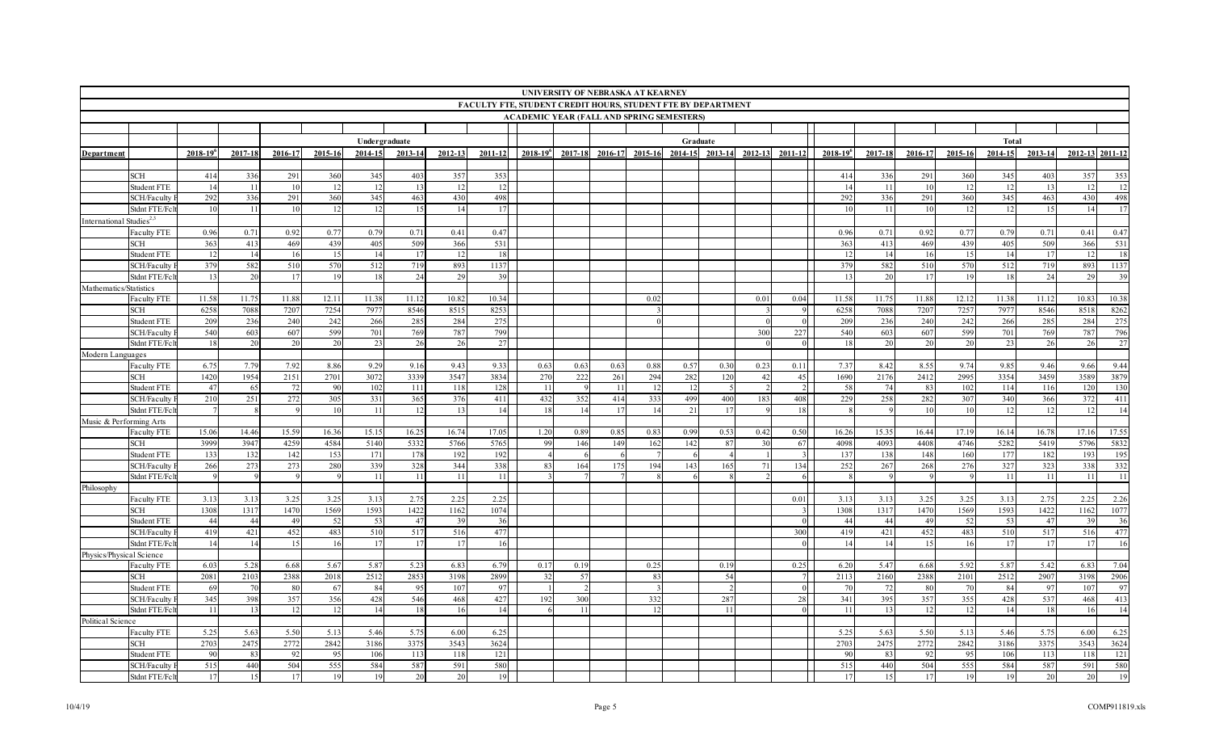|                                      |                                                                                                                                                      |               |         |         |         |               |         |         |         |                 | UNIVERSITY OF NEBRASKA AT KEARNEY |         |         |         |         |             |                |                 |         |         |         |               |         |                 |       |
|--------------------------------------|------------------------------------------------------------------------------------------------------------------------------------------------------|---------------|---------|---------|---------|---------------|---------|---------|---------|-----------------|-----------------------------------|---------|---------|---------|---------|-------------|----------------|-----------------|---------|---------|---------|---------------|---------|-----------------|-------|
|                                      | <b>FACULTY FTE, STUDENT CREDIT HOURS, STUDENT FTE BY DEPARTMENT</b><br><b>ACADEMIC YEAR (FALL AND SPRING SEMESTERS)</b><br>Undergraduate<br>Graduate |               |         |         |         |               |         |         |         |                 |                                   |         |         |         |         |             |                |                 |         |         |         |               |         |                 |       |
|                                      |                                                                                                                                                      |               |         |         |         |               |         |         |         |                 |                                   |         |         |         |         |             |                |                 |         |         |         |               |         |                 |       |
|                                      |                                                                                                                                                      |               |         |         |         |               |         |         |         |                 |                                   |         |         |         |         |             |                |                 |         |         |         |               |         |                 |       |
|                                      |                                                                                                                                                      |               |         |         |         |               |         |         |         |                 |                                   |         |         |         |         |             |                |                 |         |         |         | Total         |         |                 |       |
| Department                           |                                                                                                                                                      | $2018 - 19^6$ | 2017-18 | 2016-17 | 2015-16 | 2014-15       | 2013-14 | 2012-13 | 2011-12 | $2018 - 19^{6}$ | 2017-18                           | 2016-17 | 2015-16 | 2014-15 | 2013-14 | $2012 - 13$ | 2011-12        | $2018 - 19^{6}$ | 2017-18 | 2016-17 | 2015-16 | 2014-15       | 2013-14 | 2012-13 2011-12 |       |
|                                      |                                                                                                                                                      |               |         |         |         |               |         |         |         |                 |                                   |         |         |         |         |             |                |                 |         |         |         |               |         |                 |       |
|                                      | SCH                                                                                                                                                  | 414           | 336     | 291     | 360     | 345           | 403     | 357     | 353     |                 |                                   |         |         |         |         |             |                | 414             | 336     | 291     | 360     | 345           | 403     | 357             | 353   |
|                                      | Student FTE                                                                                                                                          | -14           | -11     | 10      | 12      | 12            |         |         | 12      |                 |                                   |         |         |         |         |             |                |                 | -11     | 10      | 12      | 12            | 13      |                 | 12    |
|                                      | SCH/Faculty                                                                                                                                          | 292           | 336     | 291     | 360     | 345           | 463     | 430     | 498     |                 |                                   |         |         |         |         |             |                | 292             | 336     | 291     | 360     | 345           | 463     | 430             | 498   |
|                                      | Stdnt FTE/Fc                                                                                                                                         | -10           | -11     | 10      | 12      | 12            | 15      | 14      | 17      |                 |                                   |         |         |         |         |             |                | 10              | -11     | 10      | 12      | 12            | 15      | 14              | 17    |
| International Studies <sup>2,3</sup> |                                                                                                                                                      |               |         |         |         |               |         |         |         |                 |                                   |         |         |         |         |             |                |                 |         |         |         |               |         |                 |       |
|                                      | <b>Faculty FTE</b>                                                                                                                                   | 0.96          | 0.71    | 0.92    | 0.77    | 0.79          | 0.71    | 0.41    | 0.47    |                 |                                   |         |         |         |         |             |                | 0.96            | 0.71    | 0.92    | 0.77    | 0.79          | 0.71    | 0.41            | 0.47  |
|                                      | SCH                                                                                                                                                  | 363           | 413     | 469     | 439     | 405           | 509     | 366     | 531     |                 |                                   |         |         |         |         |             |                | 363             | 413     | 469     | 439     | 405           | 509     | 366             | 531   |
|                                      | Student FTE                                                                                                                                          | 12            | 14      | 16      | 15      | 14            | 17      | 12      | 18      |                 |                                   |         |         |         |         |             |                |                 |         | 16      | 15      | 14            | 17      |                 | 18    |
|                                      | SCH/Faculty                                                                                                                                          | 379           | 582     | 510     | 570     | 512           | 719     | 893     | 1137    |                 |                                   |         |         |         |         |             |                | 379             | 582     | 510     | 570     | 512           | 719     | 893             | 1137  |
|                                      | Stdnt FTE/Fc                                                                                                                                         | -13           | 20      | 17      | 19      | 18            | 24      | 29      | 39      |                 |                                   |         |         |         |         |             |                |                 | 20      | -17     | 19      | -18           | 24      | -29             | 39    |
| Mathematics/Statistics               |                                                                                                                                                      |               |         |         |         |               |         |         |         |                 |                                   |         |         |         |         |             |                |                 |         |         |         |               |         |                 |       |
|                                      | Faculty FTE                                                                                                                                          | 11.58         | 11.75   | 11.88   | 12.11   | 11.38         | 11.12   | 10.82   | 10.34   |                 |                                   |         | 0.02    |         |         | 0.01        | 0.04           | 11.58           | 11.75   | 11.88   | 12.12   | 11.38         | 11.12   | 10.83           | 10.38 |
|                                      | SCH                                                                                                                                                  | 6258          | 7088    | 7207    | 7254    | 7977          | 8546    | 8515    | 8253    |                 |                                   |         |         |         |         |             | $\overline{9}$ | 6258            | 7088    | 7207    | 7257    | 7977          | 8546    | 8518            | 8262  |
|                                      | Student FTE                                                                                                                                          | 209           | 236     | 240     | 242     | 266           | 285     | 284     | 275     |                 |                                   |         |         |         |         |             | $\overline{0}$ | <b>209</b>      | 236     | 240     | 242     | 266           | 285     | 284             | 275   |
|                                      | SCH/Faculty                                                                                                                                          | 540           | 603     | 607     | 599     | 701           | 769     | 787     | 799     |                 |                                   |         |         |         |         | 300         | 227            | 540             | 603     | 607     | 599     | 701           | 769     | 787             | 796   |
|                                      | Stdnt FTE/Fc1                                                                                                                                        | 18            | 20      | 20      | 20      | 23            | 26      | 26      | 27      |                 |                                   |         |         |         |         |             |                |                 | 20      | 20      | 20      | 23            | 26      | 26              | 27    |
| Modern Languages                     |                                                                                                                                                      |               |         |         |         |               |         |         |         |                 |                                   |         |         |         |         |             |                |                 |         |         |         |               |         |                 |       |
|                                      | <b>Faculty FTE</b>                                                                                                                                   | 6.75          | 7.79    | 7.92    | 8.86    | 9.29          | 9.16    | 9.43    | 9.33    | 0.63            | 0.63                              | 0.63    | 0.88    | 0.57    | 0.30    | 0.23        | 0.11           | 7.37            | 8.42    | 8.55    | 9.74    | 9.85          | 9.46    | 9.66            | 9.44  |
|                                      | SCH                                                                                                                                                  | 1420          | 1954    | 2151    | 2701    | 3072          | 3339    | 3547    | 3834    | 270             | 222                               | 261     | 294     | 282     | 120     | 42          | 45             | 1690            | 2176    | 2412    | 2995    | 3354          | 3459    | 3589            | 3879  |
|                                      | Student FTE                                                                                                                                          | 47            | 65      | 72      | 90      | 102           | 111     | 118     | 128     | -11             |                                   | -11     | 12      | -12     |         |             |                | -58             | 74      | 83      | 102     | 114           | 116     | 120             | 130   |
|                                      | SCH/Faculty                                                                                                                                          | 210           | 251     | 272     | 305     | 331           | 365     | 376     | 411     | 432             | 352                               | 414     | 333     | 499     | 400     | 183         | 408            | 229             | 258     | 282     | 307     | 340           | 366     | 372             | 411   |
|                                      | Stdnt FTE/Fc                                                                                                                                         |               |         |         | 10      | 11            | 12      | 13      | 14      | 18              | 14                                | 17      | 14      | 21      | 17      |             | 18             |                 |         | 10      | 10      | 12            | 12      | 12              | 14    |
| Music & Performing Arts              |                                                                                                                                                      |               | 14.46   | 15.59   | 16.36   |               | 16.25   | 16.74   | 17.05   | 1.20            |                                   | 0.85    | 0.83    | 0.99    | 0.53    |             | 0.50           | 16.26           | 15.35   | 16.44   | 17.19   |               | 16.78   | 17.16           | 17.55 |
|                                      | Faculty FTE<br>SCH                                                                                                                                   | 15.06<br>3999 | 3947    | 4259    | 4584    | 15.15<br>5140 | 5332    | 5766    | 5765    | 99              | 0.89<br>146                       | 149     | 162     | 142     | 87      | 0.42        | 67             | 4098            | 4093    | 4408    | 4746    | 16.14<br>5282 | 5419    | 5796            | 5832  |
|                                      | <b>Student FTE</b>                                                                                                                                   | 133           | 132     | 142     | 153     | 171           | 178     | 192     | 192     |                 |                                   |         |         |         |         |             | $\mathcal{R}$  | 13'             | 138     | 148     | 160     | 177           | 182     | 193             | 195   |
|                                      | SCH/Faculty                                                                                                                                          | 266           | 273     | 273     | 280     | 339           | 328     | 344     | 338     | 83              | 164                               | 175     | 194     | 143     | 165     | 71          | 134            | 252             | 267     | 268     | 276     | 327           | 323     | 338             | 332   |
|                                      | Stdnt FTE/Fc1                                                                                                                                        |               |         |         |         | 11            | 11      | 11      | 11      |                 |                                   |         |         |         |         |             |                |                 |         |         |         | 11            | 11      | -11             | 11    |
| Philosophy                           |                                                                                                                                                      |               |         |         |         |               |         |         |         |                 |                                   |         |         |         |         |             |                |                 |         |         |         |               |         |                 |       |
|                                      | Faculty FTE                                                                                                                                          | 3.13          | 3.13    | 3.25    | 3.25    | 3.13          | 2.75    | 2.25    | 2.25    |                 |                                   |         |         |         |         |             | 0.01           | 3.13            | 3.13    | 3.25    | 3.25    | 3.13          | 2.75    | 2.25            | 2.26  |
|                                      | SCH                                                                                                                                                  | 1308          | 1317    | 1470    | 1569    | 1593          | 1422    | 1162    | 1074    |                 |                                   |         |         |         |         |             | $\overline{3}$ | 1308            | 1317    | 1470    | 1569    | 1593          | 1422    | 1162            | 1077  |
|                                      | <b>Student FTE</b>                                                                                                                                   | 44            | 44      | 49      | 52      | 53            | 47      | 39      | 36      |                 |                                   |         |         |         |         |             | $\overline{0}$ | 44              | -44     | -49     | 52      | 53            | 47      | -39             | 36    |
|                                      | SCH/Faculty                                                                                                                                          | 419           | 421     | 452     | 483     | 510           | 517     | 516     | 477     |                 |                                   |         |         |         |         |             | 300            | 419             | 421     | 452     | 483     | 510           | 517     | 516             | 477   |
|                                      | Stdnt FTE/Fc1                                                                                                                                        | 14            | 14      | 15      | 16      | 17            | 17      | 17      | 16      |                 |                                   |         |         |         |         |             |                |                 | 14      | 15      | 16      | 17            | 17      | 17              | 16    |
| Physics/Physical Science             |                                                                                                                                                      |               |         |         |         |               |         |         |         |                 |                                   |         |         |         |         |             |                |                 |         |         |         |               |         |                 |       |
|                                      | <b>Faculty FTE</b>                                                                                                                                   | 6.03          | 5.28    | 6.68    | 5.67    | 5.87          | 5.23    | 6.83    | 6.79    | 0.17            | 0.19                              |         | 0.25    |         | 0.19    |             | 0.25           | 6.20            | 5.47    | 6.68    | 5.92    | 5.87          | 5.42    | 6.83            | 7.04  |
|                                      | <b>SCH</b>                                                                                                                                           | 2081          | 2103    | 2388    | 2018    | 2512          | 2853    | 3198    | 2899    | 32              | 57                                |         | 83      |         | 54      |             |                | 2113            | 2160    | 2388    | 2101    | 2512          | 2907    | 3198            | 2906  |
|                                      | Student FTE                                                                                                                                          | -69           | 70      | 80      | -67     | 84            | -95     | 107     | 97      |                 |                                   |         |         |         |         |             |                | -70             | 72      | 80      | 70      | 84            | 97      | 107             | 97    |
|                                      | SCH/Faculty                                                                                                                                          | 345           | 398     | 357     | 356     | 428           | 546     | 468     | 427     | 192             | 300                               |         | 332     |         | 287     |             | 28             | 341             | 395     | 357     | 355     | 428           | 537     | 468             | 413   |
|                                      | Stdnt FTE/Fc                                                                                                                                         | 11            | 13      | 12      | 12      | 14            | 18      | 16      | 14      |                 | 11                                |         | 12      |         | 11      |             | $\overline{0}$ | -11             | 13      | 12      | 12      | 14            | 18      | 16              | 14    |
| Political Science                    |                                                                                                                                                      |               |         |         |         |               |         |         |         |                 |                                   |         |         |         |         |             |                |                 |         |         |         |               |         |                 |       |
|                                      | <b>Faculty FTE</b>                                                                                                                                   | 5.25          | 5.63    | 5.50    | 5.13    | 5.46          | 5.75    | 6.00    | 6.25    |                 |                                   |         |         |         |         |             |                | 5.25            | 5.63    | 5.50    | 5.13    | 5.46          | 5.75    | 6.00            | 6.25  |
|                                      | SCH                                                                                                                                                  | 2703          | 2475    | 2772    | 2842    | 3186          | 3375    | 3543    | 3624    |                 |                                   |         |         |         |         |             |                | 2703            | 2475    | 2772    | 2842    | 3186          | 3375    | 3543            | 3624  |
|                                      | Student FTE                                                                                                                                          | 90            | 83      | 92      | 95      | 106           | 113     | 118     | 121     |                 |                                   |         |         |         |         |             |                | 90              | 83      | 92      | 95      | 106           | 113     | 118             | 121   |
|                                      | SCH/Faculty                                                                                                                                          | 515           | 440     | 504     | 555     | 584           | 587     | 591     | 580     |                 |                                   |         |         |         |         |             |                | 515             | 440     | 504     | 555     | 584           | 587     | 591             | 580   |
|                                      | Stdnt FTE/Fc1                                                                                                                                        | 17            | 15      | 17      | 19      | 19            | 20      | 20      | 19      |                 |                                   |         |         |         |         |             |                | -17             | 15      | 17      | 19      | 19            | 20      | 20              | 19    |